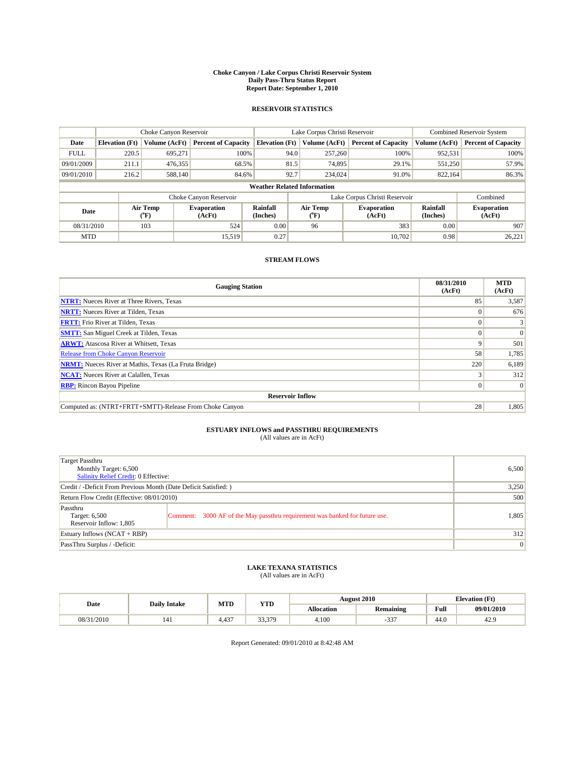#### **Choke Canyon / Lake Corpus Christi Reservoir System Daily Pass-Thru Status Report Report Date: September 1, 2010**

### **RESERVOIR STATISTICS**

|             | Choke Canyon Reservoir             |                                           |                              |                             | Lake Corpus Christi Reservoir | <b>Combined Reservoir System</b> |                      |                              |  |  |
|-------------|------------------------------------|-------------------------------------------|------------------------------|-----------------------------|-------------------------------|----------------------------------|----------------------|------------------------------|--|--|
| Date        | <b>Elevation</b> (Ft)              | Volume (AcFt)                             | <b>Percent of Capacity</b>   | <b>Elevation</b> (Ft)       | Volume (AcFt)                 | <b>Percent of Capacity</b>       | Volume (AcFt)        | <b>Percent of Capacity</b>   |  |  |
| <b>FULL</b> | 220.5                              | 695,271                                   | 100%                         | 94.0                        | 257,260                       | 100%                             | 952,531              | 100%                         |  |  |
| 09/01/2009  | 211.1                              | 476,355                                   | 68.5%                        | 81.5                        | 74,895                        | 29.1%                            | 551,250              | 57.9%                        |  |  |
| 09/01/2010  | 216.2                              | 588,140                                   | 84.6%                        | 92.7                        | 234,024                       | 91.0%                            | 822,164              | 86.3%                        |  |  |
|             | <b>Weather Related Information</b> |                                           |                              |                             |                               |                                  |                      |                              |  |  |
|             |                                    |                                           | Choke Canyon Reservoir       |                             | Lake Corpus Christi Reservoir |                                  |                      | Combined                     |  |  |
| Date        |                                    | Air Temp<br>$({}^{\mathrm{o}}\mathrm{F})$ | <b>Evaporation</b><br>(AcFt) | <b>Rainfall</b><br>(Inches) | Air Temp<br>("F)              | <b>Evaporation</b><br>(AcFt)     | Rainfall<br>(Inches) | <b>Evaporation</b><br>(AcFt) |  |  |
| 08/31/2010  |                                    | 103                                       | 524                          | 0.00                        | 96                            | 383                              | 0.00                 | 907                          |  |  |
| <b>MTD</b>  |                                    |                                           | 15.519                       | 0.27                        |                               | 10.702                           | 0.98                 | 26,221                       |  |  |

### **STREAM FLOWS**

| <b>Gauging Station</b>                                       | 08/31/2010<br>(AcFt) | <b>MTD</b><br>(AcFt) |
|--------------------------------------------------------------|----------------------|----------------------|
| <b>NTRT:</b> Nueces River at Three Rivers, Texas             | 85                   | 3,587                |
| <b>NRTT:</b> Nueces River at Tilden, Texas                   |                      | 676                  |
| <b>FRTT:</b> Frio River at Tilden, Texas                     |                      |                      |
| <b>SMTT:</b> San Miguel Creek at Tilden, Texas               |                      | $\Omega$             |
| <b>ARWT:</b> Atascosa River at Whitsett, Texas               | 9                    | 501                  |
| Release from Choke Canyon Reservoir                          | 58                   | 1,785                |
| <b>NRMT:</b> Nueces River at Mathis, Texas (La Fruta Bridge) | 220                  | 6,189                |
| <b>NCAT:</b> Nueces River at Calallen, Texas                 |                      | 312                  |
| <b>RBP:</b> Rincon Bayou Pipeline                            | $\Omega$             | $\Omega$             |
| <b>Reservoir Inflow</b>                                      |                      |                      |
| Computed as: (NTRT+FRTT+SMTT)-Release From Choke Canyon      | 28                   | 1,805                |

# **ESTUARY INFLOWS and PASSTHRU REQUIREMENTS**<br>(All values are in AcFt)

| Target Passthru<br>Monthly Target: 6,500<br><b>Salinity Relief Credit: 0 Effective:</b> |                                                                             | 6,500 |
|-----------------------------------------------------------------------------------------|-----------------------------------------------------------------------------|-------|
| Credit / -Deficit From Previous Month (Date Deficit Satisfied: )                        | 3,250                                                                       |       |
| Return Flow Credit (Effective: 08/01/2010)                                              | 500                                                                         |       |
| Passthru<br>Target: 6,500<br>Reservoir Inflow: 1,805                                    | Comment: 3000 AF of the May passthru requirement was banked for future use. | 1,805 |
| Estuary Inflows $(NCAT + RBP)$                                                          |                                                                             | 312   |
| PassThru Surplus / -Deficit:                                                            |                                                                             | 0     |

## **LAKE TEXANA STATISTICS** (All values are in AcFt)

|            | <b>Daily Intake</b> |       | MTD<br><b>YTD</b> |            | <b>August 2010</b> | <b>Elevation</b> (Ft) |            |
|------------|---------------------|-------|-------------------|------------|--------------------|-----------------------|------------|
| Date       |                     |       |                   | Allocation | <b>Remaining</b>   | <b>Full</b>           | 09/01/2010 |
| 08/31/2010 | 141                 | 4.437 | 33.379            | 4.100      | $\sim$<br>ر ر      | 44.0                  | 42.9       |

Report Generated: 09/01/2010 at 8:42:48 AM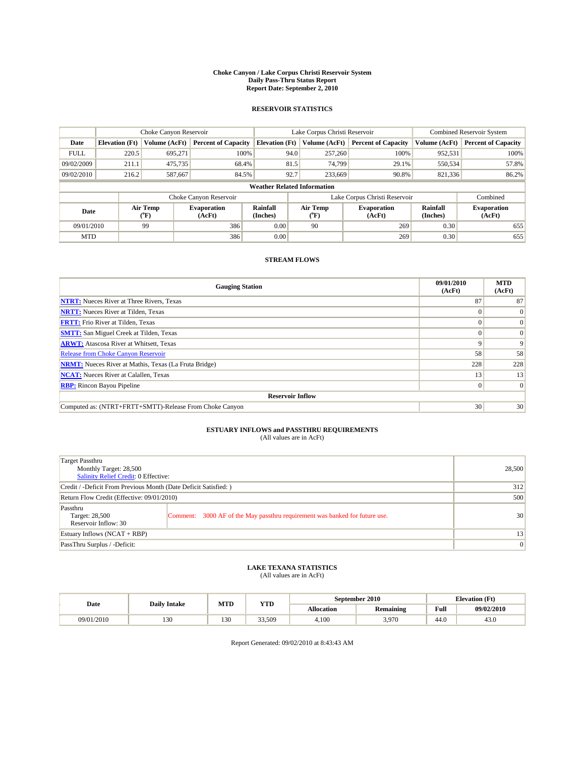#### **Choke Canyon / Lake Corpus Christi Reservoir System Daily Pass-Thru Status Report Report Date: September 2, 2010**

### **RESERVOIR STATISTICS**

|             | Choke Canyon Reservoir             |                                           |                              |                             | Lake Corpus Christi Reservoir |                              |                      | Combined Reservoir System    |  |  |
|-------------|------------------------------------|-------------------------------------------|------------------------------|-----------------------------|-------------------------------|------------------------------|----------------------|------------------------------|--|--|
| Date        | <b>Elevation</b> (Ft)              | Volume (AcFt)                             | <b>Percent of Capacity</b>   | <b>Elevation</b> (Ft)       | Volume (AcFt)                 | <b>Percent of Capacity</b>   | Volume (AcFt)        | <b>Percent of Capacity</b>   |  |  |
| <b>FULL</b> | 220.5                              | 695,271                                   | 100%                         | 94.0                        | 257,260                       | 100%                         | 952,531              | 100%                         |  |  |
| 09/02/2009  | 211.1                              | 475,735                                   | 68.4%                        | 81.5                        | 74.799                        | 29.1%                        | 550,534              | 57.8%                        |  |  |
| 09/02/2010  | 216.2                              | 587,667                                   | 84.5%                        | 92.7                        | 233,669                       | 90.8%                        | 821,336              | 86.2%                        |  |  |
|             | <b>Weather Related Information</b> |                                           |                              |                             |                               |                              |                      |                              |  |  |
|             |                                    |                                           | Choke Canyon Reservoir       |                             | Lake Corpus Christi Reservoir |                              |                      | Combined                     |  |  |
| Date        |                                    | Air Temp<br>$({}^{\mathrm{o}}\mathrm{F})$ | <b>Evaporation</b><br>(AcFt) | <b>Rainfall</b><br>(Inches) | Air Temp<br>(°F)              | <b>Evaporation</b><br>(AcFt) | Rainfall<br>(Inches) | <b>Evaporation</b><br>(AcFt) |  |  |
| 09/01/2010  |                                    | 99                                        | 386                          | 0.00                        | 90                            | 269                          | 0.30                 | 655                          |  |  |
| <b>MTD</b>  |                                    |                                           | 386                          | 0.00                        |                               | 269                          | 0.30                 | 655                          |  |  |

### **STREAM FLOWS**

| <b>Gauging Station</b>                                       | 09/01/2010<br>(AcFt) | <b>MTD</b><br>(AcFt) |  |  |  |  |  |
|--------------------------------------------------------------|----------------------|----------------------|--|--|--|--|--|
| <b>NTRT:</b> Nueces River at Three Rivers, Texas             | 87                   | 87                   |  |  |  |  |  |
| <b>NRTT:</b> Nueces River at Tilden, Texas                   |                      | $\theta$             |  |  |  |  |  |
| <b>FRTT:</b> Frio River at Tilden, Texas                     |                      | $\Omega$             |  |  |  |  |  |
| <b>SMTT:</b> San Miguel Creek at Tilden, Texas               |                      | $\Omega$             |  |  |  |  |  |
| <b>ARWT:</b> Atascosa River at Whitsett, Texas               | 9                    | $\mathbf Q$          |  |  |  |  |  |
| <b>Release from Choke Canyon Reservoir</b>                   | 58                   | 58                   |  |  |  |  |  |
| <b>NRMT:</b> Nueces River at Mathis, Texas (La Fruta Bridge) | 228                  | 228                  |  |  |  |  |  |
| <b>NCAT:</b> Nueces River at Calallen, Texas                 | 13                   | 13                   |  |  |  |  |  |
| <b>RBP:</b> Rincon Bayou Pipeline                            | $\vert 0 \vert$      | $\Omega$             |  |  |  |  |  |
| <b>Reservoir Inflow</b>                                      |                      |                      |  |  |  |  |  |
| Computed as: (NTRT+FRTT+SMTT)-Release From Choke Canyon      | 30                   | 30                   |  |  |  |  |  |

# **ESTUARY INFLOWS and PASSTHRU REQUIREMENTS**<br>(All values are in AcFt)

| Target Passthru<br>Monthly Target: 28,500<br>Salinity Relief Credit: 0 Effective: |                                                                             | 28,500 |
|-----------------------------------------------------------------------------------|-----------------------------------------------------------------------------|--------|
| Credit / -Deficit From Previous Month (Date Deficit Satisfied: )                  | 312                                                                         |        |
| Return Flow Credit (Effective: 09/01/2010)                                        | 500                                                                         |        |
| Passthru<br>Target: 28,500<br>Reservoir Inflow: 30                                | Comment: 3000 AF of the May passthru requirement was banked for future use. | 30     |
| Estuary Inflows (NCAT + RBP)                                                      |                                                                             | 13     |
| PassThru Surplus / -Deficit:                                                      | $\vert 0 \vert$                                                             |        |

## **LAKE TEXANA STATISTICS** (All values are in AcFt)

|            | <b>Daily Intake</b> | MTD | YTD    | September 2010<br><b>Elevation</b> (Ft) |                  |      |            |
|------------|---------------------|-----|--------|-----------------------------------------|------------------|------|------------|
| Date       |                     |     |        | Allocation                              | <b>Remaining</b> | Full | 09/02/2010 |
| 09/01/2010 | 120<br>1.JU         | 130 | 33,509 | 4.100                                   | 3,970            | 44.0 | 43.0       |

Report Generated: 09/02/2010 at 8:43:43 AM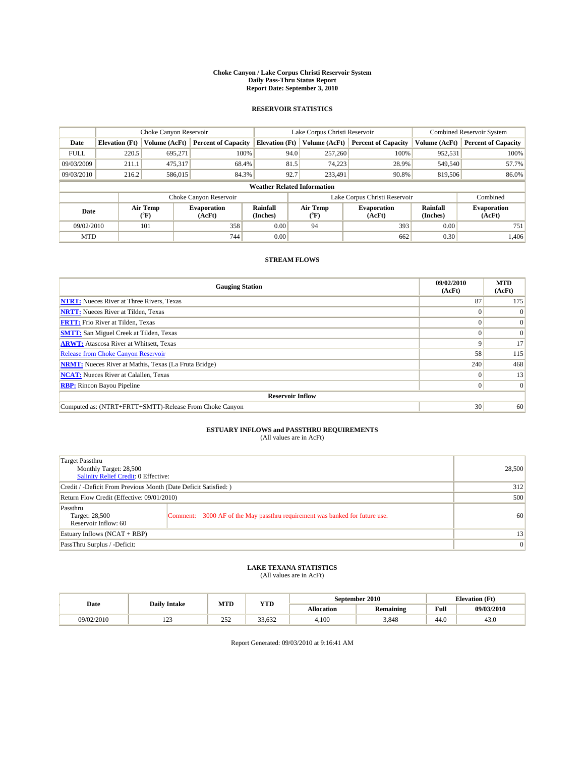#### **Choke Canyon / Lake Corpus Christi Reservoir System Daily Pass-Thru Status Report Report Date: September 3, 2010**

### **RESERVOIR STATISTICS**

|             | Choke Canyon Reservoir             |                  |                              |                             | Lake Corpus Christi Reservoir |                              |                      | <b>Combined Reservoir System</b> |  |  |
|-------------|------------------------------------|------------------|------------------------------|-----------------------------|-------------------------------|------------------------------|----------------------|----------------------------------|--|--|
| Date        | <b>Elevation</b> (Ft)              | Volume (AcFt)    | <b>Percent of Capacity</b>   | <b>Elevation</b> (Ft)       | Volume (AcFt)                 | <b>Percent of Capacity</b>   | Volume (AcFt)        | <b>Percent of Capacity</b>       |  |  |
| <b>FULL</b> | 220.5                              | 695,271          | 100%                         | 94.0                        | 257,260                       | 100%                         | 952,531              | 100%                             |  |  |
| 09/03/2009  | 211.1                              | 475,317          | 68.4%                        | 81.5                        | 74.223                        | 28.9%                        | 549,540              | 57.7%                            |  |  |
| 09/03/2010  | 216.2                              | 586,015          | 84.3%                        | 92.7                        | 233,491                       | 90.8%                        | 819,506              | 86.0%                            |  |  |
|             | <b>Weather Related Information</b> |                  |                              |                             |                               |                              |                      |                                  |  |  |
|             |                                    |                  | Choke Canyon Reservoir       |                             | Lake Corpus Christi Reservoir |                              |                      | Combined                         |  |  |
| Date        |                                    | Air Temp<br>(°F) | <b>Evaporation</b><br>(AcFt) | <b>Rainfall</b><br>(Inches) | Air Temp<br>(°F)              | <b>Evaporation</b><br>(AcFt) | Rainfall<br>(Inches) | <b>Evaporation</b><br>(AcFt)     |  |  |
| 09/02/2010  |                                    | 101              | 358                          | 0.00                        | 94                            | 393                          | 0.00                 | 751                              |  |  |
| <b>MTD</b>  |                                    |                  | 744                          | 0.00                        |                               | 662                          | 0.30                 | 1.406                            |  |  |

### **STREAM FLOWS**

| <b>Gauging Station</b>                                       | 09/02/2010<br>(AcFt) | <b>MTD</b><br>(AcFt) |  |  |  |  |  |
|--------------------------------------------------------------|----------------------|----------------------|--|--|--|--|--|
| <b>NTRT:</b> Nueces River at Three Rivers, Texas             | 87                   | 175                  |  |  |  |  |  |
| <b>NRTT:</b> Nueces River at Tilden, Texas                   |                      |                      |  |  |  |  |  |
| <b>FRTT:</b> Frio River at Tilden, Texas                     |                      | $\Omega$             |  |  |  |  |  |
| <b>SMTT:</b> San Miguel Creek at Tilden, Texas               |                      | $\Omega$             |  |  |  |  |  |
| <b>ARWT:</b> Atascosa River at Whitsett, Texas               | 9                    | 17                   |  |  |  |  |  |
| <b>Release from Choke Canyon Reservoir</b>                   | 58                   | 115                  |  |  |  |  |  |
| <b>NRMT:</b> Nueces River at Mathis, Texas (La Fruta Bridge) | 240                  | 468                  |  |  |  |  |  |
| <b>NCAT:</b> Nueces River at Calallen, Texas                 | $\Omega$             | 13                   |  |  |  |  |  |
| <b>RBP:</b> Rincon Bayou Pipeline                            | $\overline{0}$       | $\Omega$             |  |  |  |  |  |
| <b>Reservoir Inflow</b>                                      |                      |                      |  |  |  |  |  |
| Computed as: (NTRT+FRTT+SMTT)-Release From Choke Canyon      | 30                   | 60                   |  |  |  |  |  |

# **ESTUARY INFLOWS and PASSTHRU REQUIREMENTS**<br>(All values are in AcFt)

| Target Passthru<br>Monthly Target: 28,500<br>Salinity Relief Credit: 0 Effective: |                                                                             | 28,500 |
|-----------------------------------------------------------------------------------|-----------------------------------------------------------------------------|--------|
| Credit / -Deficit From Previous Month (Date Deficit Satisfied: )                  | 312                                                                         |        |
| Return Flow Credit (Effective: 09/01/2010)                                        | 500                                                                         |        |
| Passthru<br>Target: 28,500<br>Reservoir Inflow: 60                                | Comment: 3000 AF of the May passthru requirement was banked for future use. | 60     |
| Estuary Inflows (NCAT + RBP)                                                      | 13                                                                          |        |
| PassThru Surplus / -Deficit:                                                      | $\vert 0 \vert$                                                             |        |

## **LAKE TEXANA STATISTICS** (All values are in AcFt)

|            | <b>Daily Intake</b> | MTD        | <b>YTD</b>       |            | September 2010   |                                             | <b>Elevation</b> (Ft) |
|------------|---------------------|------------|------------------|------------|------------------|---------------------------------------------|-----------------------|
| Date       |                     |            |                  | Allocation | <b>Remaining</b> | Full<br>the contract of the contract of the | 09/03/2010            |
| 09/02/2010 | 1/2                 | 252<br>ے ب | $\sim$<br>33.632 | 4.100      | 3.848            | 44.0                                        | 43.0                  |

Report Generated: 09/03/2010 at 9:16:41 AM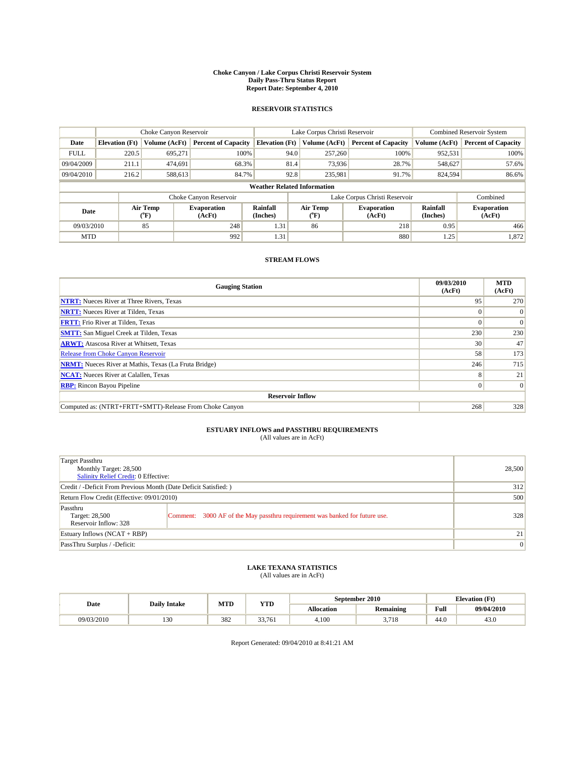#### **Choke Canyon / Lake Corpus Christi Reservoir System Daily Pass-Thru Status Report Report Date: September 4, 2010**

### **RESERVOIR STATISTICS**

|             | Choke Canyon Reservoir             |                             |                              |                             | Lake Corpus Christi Reservoir | Combined Reservoir System    |                      |                              |  |  |
|-------------|------------------------------------|-----------------------------|------------------------------|-----------------------------|-------------------------------|------------------------------|----------------------|------------------------------|--|--|
| Date        | <b>Elevation</b> (Ft)              | Volume (AcFt)               | <b>Percent of Capacity</b>   | <b>Elevation</b> (Ft)       | Volume (AcFt)                 | <b>Percent of Capacity</b>   | Volume (AcFt)        | <b>Percent of Capacity</b>   |  |  |
| <b>FULL</b> | 220.5                              | 695,271                     | 100%                         | 94.0                        | 257,260                       | 100%                         | 952,531              | 100%                         |  |  |
| 09/04/2009  | 211.1                              | 474,691                     | 68.3%                        |                             | 81.4<br>73,936                | 28.7%                        | 548,627              | 57.6%                        |  |  |
| 09/04/2010  | 216.2                              | 588,613                     | 84.7%                        |                             | 92.8<br>235,981               | 91.7%                        | 824,594              | 86.6%                        |  |  |
|             | <b>Weather Related Information</b> |                             |                              |                             |                               |                              |                      |                              |  |  |
|             |                                    |                             | Choke Canyon Reservoir       |                             | Lake Corpus Christi Reservoir |                              |                      | Combined                     |  |  |
| Date        |                                    | Air Temp<br>${}^{\circ}$ F) | <b>Evaporation</b><br>(AcFt) | <b>Rainfall</b><br>(Inches) | Air Temp<br>(°F)              | <b>Evaporation</b><br>(AcFt) | Rainfall<br>(Inches) | <b>Evaporation</b><br>(AcFt) |  |  |
| 09/03/2010  |                                    | 85                          | 248                          | 1.31                        | 86                            | 218                          | 0.95                 | 466                          |  |  |
| <b>MTD</b>  |                                    |                             | 992                          | 1.31                        |                               | 880                          | 1.25                 | 1,872                        |  |  |

### **STREAM FLOWS**

| <b>Gauging Station</b>                                       | 09/03/2010<br>(AcFt) | <b>MTD</b><br>(AcFt) |
|--------------------------------------------------------------|----------------------|----------------------|
| <b>NTRT:</b> Nueces River at Three Rivers, Texas             | 95                   | 270                  |
| <b>NRTT:</b> Nueces River at Tilden, Texas                   | $\Omega$             |                      |
| <b>FRTT:</b> Frio River at Tilden, Texas                     |                      | $\Omega$             |
| <b>SMTT:</b> San Miguel Creek at Tilden, Texas               | 230                  | 230                  |
| <b>ARWT:</b> Atascosa River at Whitsett, Texas               | 30                   | 47                   |
| <b>Release from Choke Canyon Reservoir</b>                   | 58                   | 173                  |
| <b>NRMT:</b> Nueces River at Mathis, Texas (La Fruta Bridge) | 246                  | 715                  |
| <b>NCAT:</b> Nueces River at Calallen, Texas                 | 8                    | 21                   |
| <b>RBP:</b> Rincon Bayou Pipeline                            | $\overline{0}$       | $\Omega$             |
| <b>Reservoir Inflow</b>                                      |                      |                      |
| Computed as: (NTRT+FRTT+SMTT)-Release From Choke Canyon      | 268                  | 328                  |

# **ESTUARY INFLOWS and PASSTHRU REQUIREMENTS**<br>(All values are in AcFt)

| Target Passthru<br>Monthly Target: 28,500<br>Salinity Relief Credit: 0 Effective: |                                                                             | 28,500 |
|-----------------------------------------------------------------------------------|-----------------------------------------------------------------------------|--------|
| Credit / -Deficit From Previous Month (Date Deficit Satisfied: )                  | 312                                                                         |        |
| Return Flow Credit (Effective: 09/01/2010)                                        | 500                                                                         |        |
| Passthru<br>Target: 28,500<br>Reservoir Inflow: 328                               | Comment: 3000 AF of the May passthru requirement was banked for future use. | 328    |
| Estuary Inflows (NCAT + RBP)                                                      | 21                                                                          |        |
| PassThru Surplus / -Deficit:                                                      | $\vert 0 \vert$                                                             |        |

# **LAKE TEXANA STATISTICS** (All values are in AcFt)

|            | <b>Daily Intake</b> | MTD | <b>YTD</b> |                   | September 2010   |                    | <b>Elevation</b> (Ft) |
|------------|---------------------|-----|------------|-------------------|------------------|--------------------|-----------------------|
| Date       |                     |     |            | <b>Allocation</b> | <b>Remaining</b> | Full               | 09/04/2010            |
| 09/03/2010 | 100<br>1.JU         | 382 | 33,761     | 4,100             | 2710<br>5.718    | $\sqrt{2}$<br>44.0 | 43.0                  |

Report Generated: 09/04/2010 at 8:41:21 AM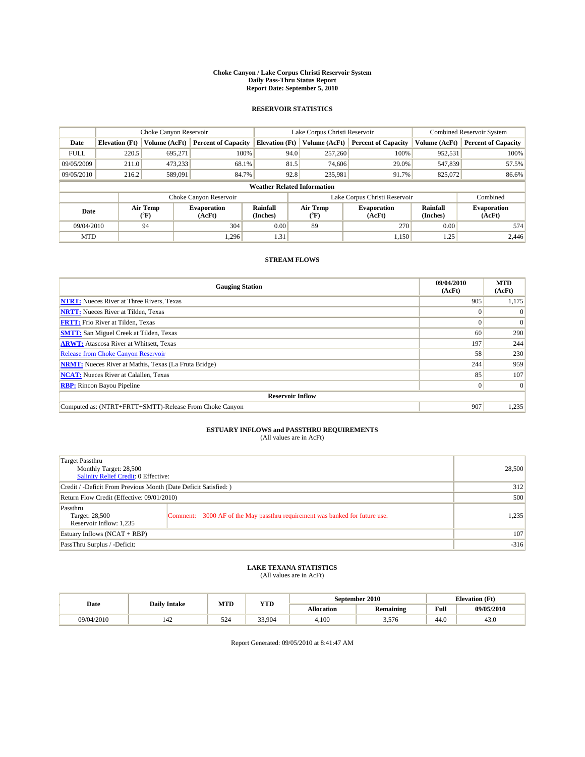#### **Choke Canyon / Lake Corpus Christi Reservoir System Daily Pass-Thru Status Report Report Date: September 5, 2010**

### **RESERVOIR STATISTICS**

|             | Choke Canyon Reservoir             |                                |                              |                       | Lake Corpus Christi Reservoir |                              |                      | <b>Combined Reservoir System</b> |  |  |
|-------------|------------------------------------|--------------------------------|------------------------------|-----------------------|-------------------------------|------------------------------|----------------------|----------------------------------|--|--|
| Date        | <b>Elevation</b> (Ft)              | Volume (AcFt)                  | <b>Percent of Capacity</b>   | <b>Elevation</b> (Ft) | Volume (AcFt)                 | <b>Percent of Capacity</b>   | Volume (AcFt)        | <b>Percent of Capacity</b>       |  |  |
| <b>FULL</b> | 220.5                              | 695,271                        | 100%                         | 94.0                  | 257,260                       | 100%                         | 952,531              | 100%                             |  |  |
| 09/05/2009  | 211.0                              | 473,233                        | 68.1%                        | 81.5                  | 74,606                        | 29.0%                        | 547,839              | 57.5%                            |  |  |
| 09/05/2010  | 216.2                              | 589,091                        | 84.7%                        | 92.8                  | 235,981                       | 91.7%                        | 825,072              | 86.6%                            |  |  |
|             | <b>Weather Related Information</b> |                                |                              |                       |                               |                              |                      |                                  |  |  |
|             |                                    |                                | Choke Canyon Reservoir       |                       | Lake Corpus Christi Reservoir |                              |                      | Combined                         |  |  |
| Date        |                                    | Air Temp<br>$({}^o\mathrm{F})$ | <b>Evaporation</b><br>(AcFt) | Rainfall<br>(Inches)  | Air Temp<br>(°F)              | <b>Evaporation</b><br>(AcFt) | Rainfall<br>(Inches) | <b>Evaporation</b><br>(AcFt)     |  |  |
| 09/04/2010  |                                    | 94                             | 304                          | 0.00                  | 89                            | 270                          | 0.00                 | 574                              |  |  |
| <b>MTD</b>  |                                    |                                | 1.296                        | 1.31                  |                               | 1,150                        | 1.25                 | 2.446                            |  |  |

### **STREAM FLOWS**

| <b>Gauging Station</b>                                       | 09/04/2010<br>(AcFt) | <b>MTD</b><br>(AcFt) |  |  |  |  |  |
|--------------------------------------------------------------|----------------------|----------------------|--|--|--|--|--|
| <b>NTRT:</b> Nueces River at Three Rivers, Texas             | 905                  | 1,175                |  |  |  |  |  |
| <b>NRTT:</b> Nueces River at Tilden, Texas                   | $\Omega$             |                      |  |  |  |  |  |
| <b>FRTT:</b> Frio River at Tilden, Texas                     |                      | $\Omega$             |  |  |  |  |  |
| <b>SMTT:</b> San Miguel Creek at Tilden, Texas               | 60                   | 290                  |  |  |  |  |  |
| <b>ARWT:</b> Atascosa River at Whitsett, Texas               | 197                  | 244                  |  |  |  |  |  |
| <b>Release from Choke Canyon Reservoir</b>                   | 58                   | 230                  |  |  |  |  |  |
| <b>NRMT:</b> Nueces River at Mathis, Texas (La Fruta Bridge) | 244                  | 959                  |  |  |  |  |  |
| <b>NCAT:</b> Nueces River at Calallen, Texas                 | 85                   | 107                  |  |  |  |  |  |
| <b>RBP:</b> Rincon Bayou Pipeline                            | $\overline{0}$       | $\Omega$             |  |  |  |  |  |
| <b>Reservoir Inflow</b>                                      |                      |                      |  |  |  |  |  |
| Computed as: (NTRT+FRTT+SMTT)-Release From Choke Canyon      | 907                  | 1,235                |  |  |  |  |  |

# **ESTUARY INFLOWS and PASSTHRU REQUIREMENTS**<br>(All values are in AcFt)

| Target Passthru<br>Monthly Target: 28,500<br>Salinity Relief Credit: 0 Effective: |                                                                             | 28,500 |
|-----------------------------------------------------------------------------------|-----------------------------------------------------------------------------|--------|
| Credit / -Deficit From Previous Month (Date Deficit Satisfied: )                  |                                                                             | 312    |
| Return Flow Credit (Effective: 09/01/2010)                                        | 500                                                                         |        |
| Passthru<br>Target: 28,500<br>Reservoir Inflow: 1.235                             | Comment: 3000 AF of the May passthru requirement was banked for future use. | 1,235  |
| Estuary Inflows $(NCAT + RBP)$                                                    |                                                                             | 107    |
| PassThru Surplus / -Deficit:                                                      |                                                                             | $-316$ |

## **LAKE TEXANA STATISTICS** (All values are in AcFt)

|            | <b>Daily Intake</b> | MTD | <b>YTD</b> |            | September 2010 |                                             | <b>Elevation</b> (Ft) |
|------------|---------------------|-----|------------|------------|----------------|---------------------------------------------|-----------------------|
| Date       |                     |     |            | Allocation | Remaining      | Full<br>the contract of the contract of the | 09/05/2010            |
| 09/04/2010 | 142                 | 524 | 33,904     | 4.100      | 3,576          | 44.0                                        | 43.0                  |

Report Generated: 09/05/2010 at 8:41:47 AM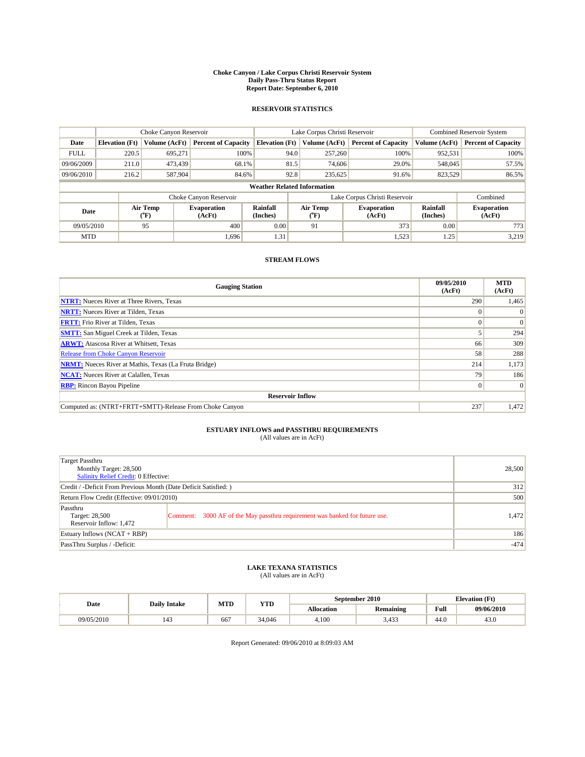#### **Choke Canyon / Lake Corpus Christi Reservoir System Daily Pass-Thru Status Report Report Date: September 6, 2010**

### **RESERVOIR STATISTICS**

|             | Choke Canyon Reservoir             |                  |                              |                             | Lake Corpus Christi Reservoir |                              |                      | <b>Combined Reservoir System</b> |  |  |
|-------------|------------------------------------|------------------|------------------------------|-----------------------------|-------------------------------|------------------------------|----------------------|----------------------------------|--|--|
| Date        | <b>Elevation</b> (Ft)              | Volume (AcFt)    | <b>Percent of Capacity</b>   | <b>Elevation</b> (Ft)       | Volume (AcFt)                 | <b>Percent of Capacity</b>   | Volume (AcFt)        | <b>Percent of Capacity</b>       |  |  |
| <b>FULL</b> | 220.5                              | 695,271          | 100%                         | 94.0                        | 257,260                       | 100%                         | 952,531              | 100%                             |  |  |
| 09/06/2009  | 211.0                              | 473,439          | 68.1%                        | 81.5                        | 74,606                        | 29.0%                        | 548,045              | 57.5%                            |  |  |
| 09/06/2010  | 216.2                              | 587,904          | 84.6%                        | 92.8                        | 235,625                       | 91.6%                        | 823,529              | 86.5%                            |  |  |
|             | <b>Weather Related Information</b> |                  |                              |                             |                               |                              |                      |                                  |  |  |
|             |                                    |                  | Choke Canyon Reservoir       |                             | Lake Corpus Christi Reservoir |                              |                      | Combined                         |  |  |
| Date        |                                    | Air Temp<br>(°F) | <b>Evaporation</b><br>(AcFt) | <b>Rainfall</b><br>(Inches) | Air Temp<br>(°F)              | <b>Evaporation</b><br>(AcFt) | Rainfall<br>(Inches) | <b>Evaporation</b><br>(AcFt)     |  |  |
| 09/05/2010  |                                    | 95               | 400                          | 0.00                        | 91                            | 373                          | 0.00                 | 773                              |  |  |
| <b>MTD</b>  |                                    |                  | 1.696                        | 1.31                        |                               | 1,523                        | 1.25                 | 3.219                            |  |  |

### **STREAM FLOWS**

| <b>Gauging Station</b>                                       | 09/05/2010<br>(AcFt) | <b>MTD</b><br>(AcFt) |  |  |  |  |  |
|--------------------------------------------------------------|----------------------|----------------------|--|--|--|--|--|
| <b>NTRT:</b> Nueces River at Three Rivers, Texas             | 290                  | 1,465                |  |  |  |  |  |
| <b>NRTT:</b> Nueces River at Tilden, Texas                   | $\theta$             |                      |  |  |  |  |  |
| <b>FRTT:</b> Frio River at Tilden, Texas                     |                      | $\Omega$             |  |  |  |  |  |
| <b>SMTT:</b> San Miguel Creek at Tilden, Texas               |                      | 294                  |  |  |  |  |  |
| <b>ARWT:</b> Atascosa River at Whitsett, Texas               | 66                   | 309                  |  |  |  |  |  |
| <b>Release from Choke Canyon Reservoir</b>                   | 58                   | 288                  |  |  |  |  |  |
| <b>NRMT:</b> Nueces River at Mathis, Texas (La Fruta Bridge) | 214                  | 1,173                |  |  |  |  |  |
| <b>NCAT:</b> Nueces River at Calallen, Texas                 | 79                   | 186                  |  |  |  |  |  |
| <b>RBP:</b> Rincon Bayou Pipeline                            | $\overline{0}$       | $\Omega$             |  |  |  |  |  |
| <b>Reservoir Inflow</b>                                      |                      |                      |  |  |  |  |  |
| Computed as: (NTRT+FRTT+SMTT)-Release From Choke Canyon      | 237                  | 1,472                |  |  |  |  |  |

# **ESTUARY INFLOWS and PASSTHRU REQUIREMENTS**<br>(All values are in AcFt)

| Target Passthru<br>Monthly Target: 28,500<br>Salinity Relief Credit: 0 Effective: | 28,500                                                                      |       |
|-----------------------------------------------------------------------------------|-----------------------------------------------------------------------------|-------|
| Credit / -Deficit From Previous Month (Date Deficit Satisfied: )                  | 312                                                                         |       |
| Return Flow Credit (Effective: 09/01/2010)                                        | 500                                                                         |       |
| Passthru<br>Target: 28,500<br>Reservoir Inflow: 1,472                             | Comment: 3000 AF of the May passthru requirement was banked for future use. | 1,472 |
| Estuary Inflows (NCAT + RBP)                                                      | 186                                                                         |       |
| PassThru Surplus / -Deficit:                                                      | $-474$                                                                      |       |

# **LAKE TEXANA STATISTICS** (All values are in AcFt)

|            | <b>Daily Intake</b> | MTD | <b>YTD</b> |            | September 2010 |                                             | <b>Elevation</b> (Ft) |
|------------|---------------------|-----|------------|------------|----------------|---------------------------------------------|-----------------------|
| Date       |                     |     |            | Allocation | Remaining      | Full<br>the contract of the contract of the | 09/06/2010            |
| 09/05/2010 | 143                 | 66  | 34,046     | 4.100      | 3.433          | 44.0                                        | 43.0                  |

Report Generated: 09/06/2010 at 8:09:03 AM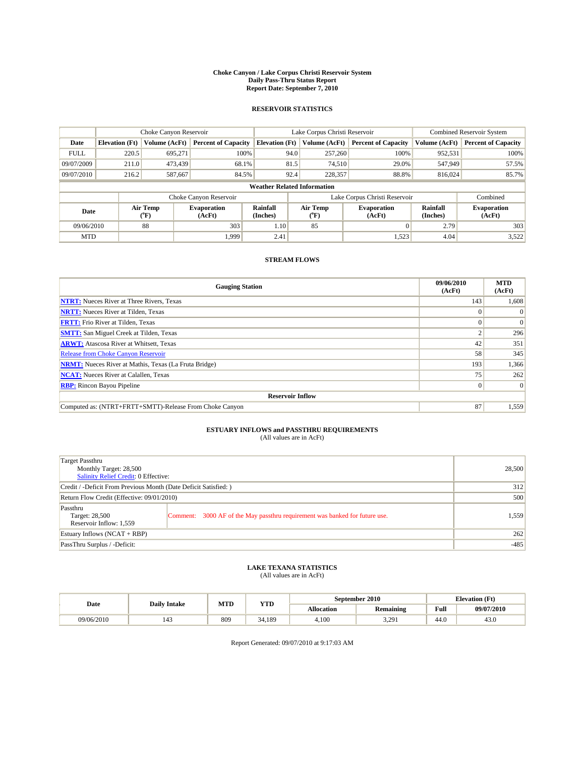#### **Choke Canyon / Lake Corpus Christi Reservoir System Daily Pass-Thru Status Report Report Date: September 7, 2010**

### **RESERVOIR STATISTICS**

|             | Choke Canyon Reservoir             |                      |                              |                             | Lake Corpus Christi Reservoir | <b>Combined Reservoir System</b> |                      |                              |  |  |
|-------------|------------------------------------|----------------------|------------------------------|-----------------------------|-------------------------------|----------------------------------|----------------------|------------------------------|--|--|
| Date        | <b>Elevation</b> (Ft)              | <b>Volume (AcFt)</b> | <b>Percent of Capacity</b>   | <b>Elevation</b> (Ft)       | Volume (AcFt)                 | <b>Percent of Capacity</b>       | Volume (AcFt)        | <b>Percent of Capacity</b>   |  |  |
| <b>FULL</b> | 220.5                              | 695,271              | 100%                         | 94.0                        | 257,260                       | 100%                             | 952,531              | 100%                         |  |  |
| 09/07/2009  | 211.0                              | 473,439              | 68.1%                        | 81.5                        | 74,510                        | 29.0%                            | 547,949              | 57.5%                        |  |  |
| 09/07/2010  | 216.2                              | 587,667              | 84.5%                        | 92.4                        | 228,357                       | 88.8%                            | 816,024              | 85.7%                        |  |  |
|             | <b>Weather Related Information</b> |                      |                              |                             |                               |                                  |                      |                              |  |  |
|             |                                    |                      | Choke Canyon Reservoir       |                             |                               | Lake Corpus Christi Reservoir    |                      | Combined                     |  |  |
| Date        |                                    | Air Temp<br>(°F)     | <b>Evaporation</b><br>(AcFt) | <b>Rainfall</b><br>(Inches) | Air Temp<br>(°F)              | <b>Evaporation</b><br>(AcFt)     | Rainfall<br>(Inches) | <b>Evaporation</b><br>(AcFt) |  |  |
| 09/06/2010  |                                    | 88                   | 303                          | 1.10                        | 85                            | $\Omega$                         | 2.79                 | 303                          |  |  |
| <b>MTD</b>  |                                    |                      | 1.999                        | 2.41                        |                               | 1,523                            | 4.04                 | 3,522                        |  |  |

### **STREAM FLOWS**

| <b>Gauging Station</b>                                       | 09/06/2010<br>(AcFt) | <b>MTD</b><br>(AcFt) |
|--------------------------------------------------------------|----------------------|----------------------|
| <b>NTRT:</b> Nueces River at Three Rivers, Texas             | 143                  | 1,608                |
| <b>NRTT:</b> Nueces River at Tilden, Texas                   | $\Omega$             |                      |
| <b>FRTT:</b> Frio River at Tilden, Texas                     |                      | $\Omega$             |
| <b>SMTT:</b> San Miguel Creek at Tilden, Texas               |                      | 296                  |
| <b>ARWT:</b> Atascosa River at Whitsett, Texas               | 42                   | 351                  |
| <b>Release from Choke Canyon Reservoir</b>                   | 58                   | 345                  |
| <b>NRMT:</b> Nueces River at Mathis, Texas (La Fruta Bridge) | 193                  | 1,366                |
| <b>NCAT:</b> Nueces River at Calallen, Texas                 | 75                   | 262                  |
| <b>RBP:</b> Rincon Bayou Pipeline                            | $\overline{0}$       | $\Omega$             |
| <b>Reservoir Inflow</b>                                      |                      |                      |
| Computed as: (NTRT+FRTT+SMTT)-Release From Choke Canyon      | 87                   | 1,559                |

# **ESTUARY INFLOWS and PASSTHRU REQUIREMENTS**<br>(All values are in AcFt)

| Target Passthru<br>Monthly Target: 28,500<br>Salinity Relief Credit: 0 Effective: |                                                                             | 28,500 |
|-----------------------------------------------------------------------------------|-----------------------------------------------------------------------------|--------|
| Credit / -Deficit From Previous Month (Date Deficit Satisfied: )                  | 312                                                                         |        |
| Return Flow Credit (Effective: 09/01/2010)                                        | 500                                                                         |        |
| Passthru<br>Target: 28,500<br>Reservoir Inflow: 1,559                             | Comment: 3000 AF of the May passthru requirement was banked for future use. | 1,559  |
| Estuary Inflows (NCAT + RBP)                                                      | 262                                                                         |        |
| PassThru Surplus / -Deficit:                                                      | $-485$                                                                      |        |

# **LAKE TEXANA STATISTICS** (All values are in AcFt)

|            | <b>Daily Intake</b> | MTD | YTD    | September 2010<br><b>Elevation</b> (Ft) |                  |      |            |
|------------|---------------------|-----|--------|-----------------------------------------|------------------|------|------------|
| Date       |                     |     |        | Allocation                              | <b>Remaining</b> | Full | 09/07/2010 |
| 09/06/2010 | 143                 | 809 | 34.189 | 4.100                                   | 291<br>----      | 44.0 | 43.0       |

Report Generated: 09/07/2010 at 9:17:03 AM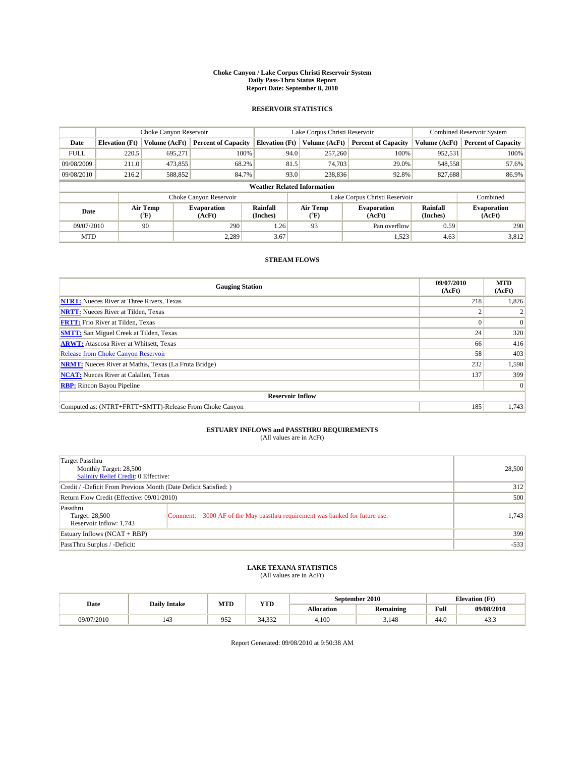#### **Choke Canyon / Lake Corpus Christi Reservoir System Daily Pass-Thru Status Report Report Date: September 8, 2010**

### **RESERVOIR STATISTICS**

|             | Choke Canyon Reservoir             |                             |                              |                       | Lake Corpus Christi Reservoir |                              |                               |                      | <b>Combined Reservoir System</b> |  |
|-------------|------------------------------------|-----------------------------|------------------------------|-----------------------|-------------------------------|------------------------------|-------------------------------|----------------------|----------------------------------|--|
| Date        | <b>Elevation</b> (Ft)              | <b>Volume (AcFt)</b>        | <b>Percent of Capacity</b>   | <b>Elevation</b> (Ft) |                               | Volume (AcFt)                | <b>Percent of Capacity</b>    | Volume (AcFt)        | <b>Percent of Capacity</b>       |  |
| <b>FULL</b> | 220.5                              | 695,271                     | 100%                         |                       | 94.0                          | 257,260                      | 100%                          | 952,531              | 100%                             |  |
| 09/08/2009  | 211.0                              | 473,855                     | 68.2%                        |                       | 81.5                          | 74,703                       | 29.0%                         | 548,558              | 57.6%                            |  |
| 09/08/2010  | 216.2                              | 588,852                     | 84.7%                        |                       | 93.0                          | 238,836                      | 92.8%                         | 827,688              | 86.9%                            |  |
|             | <b>Weather Related Information</b> |                             |                              |                       |                               |                              |                               |                      |                                  |  |
|             |                                    |                             | Choke Canyon Reservoir       |                       |                               |                              | Lake Corpus Christi Reservoir |                      | Combined                         |  |
| Date        |                                    | Air Temp<br>${}^{\circ}$ F) | <b>Evaporation</b><br>(AcFt) | Rainfall<br>(Inches)  |                               | Air Temp<br>$\rm ^{(^o}\!F)$ | <b>Evaporation</b><br>(AcFt)  | Rainfall<br>(Inches) | <b>Evaporation</b><br>(AcFt)     |  |
| 09/07/2010  |                                    | 90                          | 290                          | 1.26                  |                               | 93                           | Pan overflow                  | 0.59                 | 290                              |  |
| <b>MTD</b>  |                                    |                             | 2,289                        | 3.67                  |                               |                              | 1,523                         | 4.63                 | 3,812                            |  |

### **STREAM FLOWS**

| <b>Gauging Station</b>                                       | 09/07/2010<br>(AcFt) | <b>MTD</b><br>(AcFt) |
|--------------------------------------------------------------|----------------------|----------------------|
| <b>NTRT:</b> Nueces River at Three Rivers, Texas             | 218                  | 1,826                |
| <b>NRTT:</b> Nueces River at Tilden, Texas                   |                      |                      |
| <b>FRTT:</b> Frio River at Tilden, Texas                     |                      | $\Omega$             |
| <b>SMTT:</b> San Miguel Creek at Tilden, Texas               | 24                   | 320                  |
| <b>ARWT:</b> Atascosa River at Whitsett, Texas               | 66                   | 416                  |
| <b>Release from Choke Canyon Reservoir</b>                   | 58                   | 403                  |
| <b>NRMT:</b> Nueces River at Mathis, Texas (La Fruta Bridge) | 232                  | 1,598                |
| <b>NCAT:</b> Nueces River at Calallen, Texas                 | 137                  | 399                  |
| <b>RBP:</b> Rincon Bayou Pipeline                            |                      | $\Omega$             |
| <b>Reservoir Inflow</b>                                      |                      |                      |
| Computed as: (NTRT+FRTT+SMTT)-Release From Choke Canyon      | 185                  | 1,743                |

# **ESTUARY INFLOWS and PASSTHRU REQUIREMENTS**<br>(All values are in AcFt)

| Target Passthru<br>Monthly Target: 28,500<br>Salinity Relief Credit: 0 Effective: |                                                                             | 28,500 |
|-----------------------------------------------------------------------------------|-----------------------------------------------------------------------------|--------|
| Credit / -Deficit From Previous Month (Date Deficit Satisfied: )                  | 312                                                                         |        |
| Return Flow Credit (Effective: 09/01/2010)                                        | 500                                                                         |        |
| Passthru<br>Target: 28,500<br>Reservoir Inflow: 1,743                             | Comment: 3000 AF of the May passthru requirement was banked for future use. | 1,743  |
| Estuary Inflows (NCAT + RBP)                                                      |                                                                             | 399    |
| PassThru Surplus / -Deficit:                                                      | $-533$                                                                      |        |

## **LAKE TEXANA STATISTICS** (All values are in AcFt)

| Date       | <b>Daily Intake</b> | MTD | YTD                               |                   | September 2010   |      | <b>Elevation</b> (Ft) |
|------------|---------------------|-----|-----------------------------------|-------------------|------------------|------|-----------------------|
|            |                     |     |                                   | <b>Allocation</b> | <b>Remaining</b> | Full | 09/08/2010            |
| 09/07/2010 | 143                 | 952 | 222<br>$\sim$ $\lambda$<br>34.332 | 4.100             | 3,148            | 44.0 | 45.3                  |

Report Generated: 09/08/2010 at 9:50:38 AM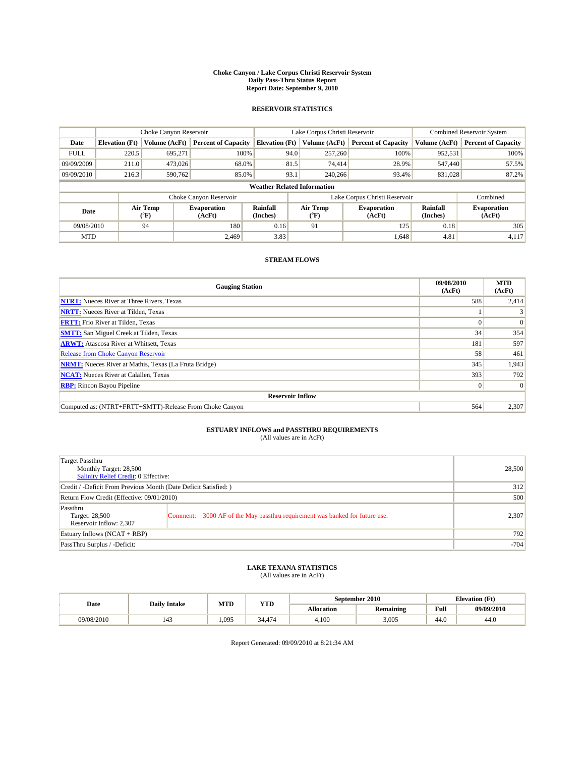#### **Choke Canyon / Lake Corpus Christi Reservoir System Daily Pass-Thru Status Report Report Date: September 9, 2010**

### **RESERVOIR STATISTICS**

|             | Choke Canyon Reservoir             |                      |                              |                             | Lake Corpus Christi Reservoir | <b>Combined Reservoir System</b> |                      |                              |  |  |
|-------------|------------------------------------|----------------------|------------------------------|-----------------------------|-------------------------------|----------------------------------|----------------------|------------------------------|--|--|
| Date        | <b>Elevation</b> (Ft)              | <b>Volume (AcFt)</b> | <b>Percent of Capacity</b>   | <b>Elevation</b> (Ft)       | Volume (AcFt)                 | <b>Percent of Capacity</b>       | Volume (AcFt)        | <b>Percent of Capacity</b>   |  |  |
| <b>FULL</b> | 220.5                              | 695,271              | 100%                         | 94.0                        | 257,260                       | 100%                             | 952,531              | 100%                         |  |  |
| 09/09/2009  | 211.0                              | 473,026              | 68.0%                        | 81.5                        | 74,414                        | 28.9%                            | 547,440              | 57.5%                        |  |  |
| 09/09/2010  | 216.3                              | 590,762              | 85.0%                        | 93.1                        | 240,266                       | 93.4%                            | 831,028              | 87.2%                        |  |  |
|             | <b>Weather Related Information</b> |                      |                              |                             |                               |                                  |                      |                              |  |  |
|             |                                    |                      | Choke Canyon Reservoir       |                             |                               | Lake Corpus Christi Reservoir    |                      | Combined                     |  |  |
| Date        |                                    | Air Temp<br>(°F)     | <b>Evaporation</b><br>(AcFt) | <b>Rainfall</b><br>(Inches) | Air Temp<br>(°F)              | <b>Evaporation</b><br>(AcFt)     | Rainfall<br>(Inches) | <b>Evaporation</b><br>(AcFt) |  |  |
| 09/08/2010  |                                    | 94                   | 180                          | 0.16                        | 91                            | 125                              | 0.18                 | 305                          |  |  |
| <b>MTD</b>  |                                    |                      | 2.469                        | 3.83                        |                               | 1,648                            | 4.81                 | 4,117                        |  |  |

### **STREAM FLOWS**

| <b>Gauging Station</b>                                       | 09/08/2010<br>(AcFt) | <b>MTD</b><br>(AcFt) |
|--------------------------------------------------------------|----------------------|----------------------|
| <b>NTRT:</b> Nueces River at Three Rivers, Texas             | 588                  | 2,414                |
| <b>NRTT:</b> Nueces River at Tilden, Texas                   |                      |                      |
| <b>FRTT:</b> Frio River at Tilden, Texas                     |                      | $\Omega$             |
| <b>SMTT:</b> San Miguel Creek at Tilden, Texas               | 34                   | 354                  |
| <b>ARWT:</b> Atascosa River at Whitsett, Texas               | 181                  | 597                  |
| <b>Release from Choke Canyon Reservoir</b>                   | 58                   | 461                  |
| <b>NRMT:</b> Nueces River at Mathis, Texas (La Fruta Bridge) | 345                  | 1,943                |
| <b>NCAT:</b> Nueces River at Calallen, Texas                 | 393                  | 792                  |
| <b>RBP:</b> Rincon Bayou Pipeline                            | $\overline{0}$       | $\Omega$             |
| <b>Reservoir Inflow</b>                                      |                      |                      |
| Computed as: (NTRT+FRTT+SMTT)-Release From Choke Canyon      | 564                  | 2,307                |

# **ESTUARY INFLOWS and PASSTHRU REQUIREMENTS**<br>(All values are in AcFt)

| Target Passthru<br>Monthly Target: 28,500<br>Salinity Relief Credit: 0 Effective: |                                                                             | 28,500 |
|-----------------------------------------------------------------------------------|-----------------------------------------------------------------------------|--------|
| Credit / -Deficit From Previous Month (Date Deficit Satisfied: )                  | 312                                                                         |        |
| Return Flow Credit (Effective: 09/01/2010)                                        | 500                                                                         |        |
| Passthru<br>Target: 28,500<br>Reservoir Inflow: 2,307                             | Comment: 3000 AF of the May passthru requirement was banked for future use. | 2,307  |
| Estuary Inflows (NCAT + RBP)                                                      | 792                                                                         |        |
| PassThru Surplus / -Deficit:                                                      | $-704$                                                                      |        |

# **LAKE TEXANA STATISTICS** (All values are in AcFt)

|            | <b>Daily Intake</b> | MTD   | YTD                            | September 2010 |                  |      | <b>Elevation</b> (Ft) |
|------------|---------------------|-------|--------------------------------|----------------|------------------|------|-----------------------|
| Date       |                     |       |                                | Allocation     | <b>Remaining</b> | Full | 09/09/2010            |
| 09/08/2010 | 143                 | 1.095 | $\sqrt{2}$<br>$\sim$ $\lambda$ | 4.100          | 3.005            | 44.0 | 44.0                  |

Report Generated: 09/09/2010 at 8:21:34 AM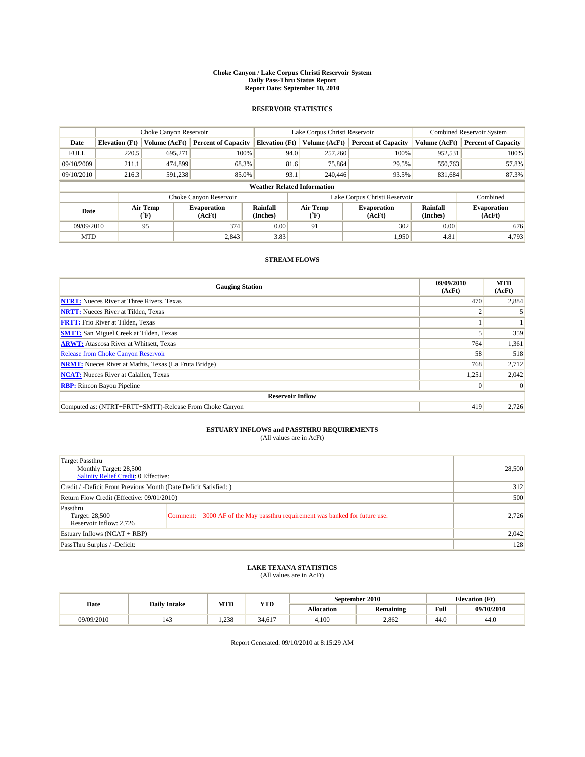#### **Choke Canyon / Lake Corpus Christi Reservoir System Daily Pass-Thru Status Report Report Date: September 10, 2010**

### **RESERVOIR STATISTICS**

|             | Choke Canyon Reservoir             |                      |                              |                             | Lake Corpus Christi Reservoir |                               |                      | Combined Reservoir System    |  |  |
|-------------|------------------------------------|----------------------|------------------------------|-----------------------------|-------------------------------|-------------------------------|----------------------|------------------------------|--|--|
| Date        | <b>Elevation</b> (Ft)              | <b>Volume (AcFt)</b> | <b>Percent of Capacity</b>   | <b>Elevation</b> (Ft)       | Volume (AcFt)                 | <b>Percent of Capacity</b>    | Volume (AcFt)        | <b>Percent of Capacity</b>   |  |  |
| <b>FULL</b> | 220.5                              | 695,271              | 100%                         | 94.0                        | 257,260                       | 100%                          | 952,531              | 100%                         |  |  |
| 09/10/2009  | 211.1                              | 474,899              | 68.3%                        | 81.6                        | 75,864                        | 29.5%                         | 550,763              | 57.8%                        |  |  |
| 09/10/2010  | 216.3                              | 591,238              | 85.0%                        | 93.1                        | 240,446                       | 93.5%                         | 831,684              | 87.3%                        |  |  |
|             | <b>Weather Related Information</b> |                      |                              |                             |                               |                               |                      |                              |  |  |
|             |                                    |                      | Choke Canyon Reservoir       |                             |                               | Lake Corpus Christi Reservoir |                      | Combined                     |  |  |
| Date        |                                    | Air Temp<br>(°F)     | <b>Evaporation</b><br>(AcFt) | <b>Rainfall</b><br>(Inches) | Air Temp<br>(°F)              | <b>Evaporation</b><br>(AcFt)  | Rainfall<br>(Inches) | <b>Evaporation</b><br>(AcFt) |  |  |
| 09/09/2010  |                                    | 95                   | 374                          | 0.00                        | 91                            | 302                           | 0.00                 | 676                          |  |  |
| <b>MTD</b>  |                                    |                      | 2,843                        | 3.83                        |                               | 1,950                         | 4.81                 | 4.793                        |  |  |

### **STREAM FLOWS**

| <b>Gauging Station</b>                                       | 09/09/2010<br>(AcFt) | <b>MTD</b><br>(AcFt) |  |  |  |  |
|--------------------------------------------------------------|----------------------|----------------------|--|--|--|--|
| <b>NTRT:</b> Nueces River at Three Rivers, Texas             | 470                  | 2,884                |  |  |  |  |
| <b>NRTT:</b> Nueces River at Tilden, Texas                   |                      |                      |  |  |  |  |
| <b>FRTT:</b> Frio River at Tilden, Texas                     |                      |                      |  |  |  |  |
| <b>SMTT:</b> San Miguel Creek at Tilden, Texas               |                      | 359                  |  |  |  |  |
| <b>ARWT:</b> Atascosa River at Whitsett, Texas               | 764                  | 1,361                |  |  |  |  |
| <b>Release from Choke Canyon Reservoir</b>                   | 58                   | 518                  |  |  |  |  |
| <b>NRMT:</b> Nueces River at Mathis, Texas (La Fruta Bridge) | 768                  | 2,712                |  |  |  |  |
| <b>NCAT:</b> Nueces River at Calallen, Texas                 | 1,251                | 2,042                |  |  |  |  |
| <b>RBP:</b> Rincon Bayou Pipeline                            | $\vert 0 \vert$      | $\Omega$             |  |  |  |  |
| <b>Reservoir Inflow</b>                                      |                      |                      |  |  |  |  |
| Computed as: (NTRT+FRTT+SMTT)-Release From Choke Canyon      | 419                  | 2,726                |  |  |  |  |

# **ESTUARY INFLOWS and PASSTHRU REQUIREMENTS**<br>(All values are in AcFt)

| Target Passthru<br>Monthly Target: 28,500<br>Salinity Relief Credit: 0 Effective: |                                                                             | 28,500 |
|-----------------------------------------------------------------------------------|-----------------------------------------------------------------------------|--------|
| Credit / -Deficit From Previous Month (Date Deficit Satisfied: )                  | 312                                                                         |        |
| Return Flow Credit (Effective: 09/01/2010)                                        | 500                                                                         |        |
| Passthru<br>Target: 28,500<br>Reservoir Inflow: 2,726                             | Comment: 3000 AF of the May passthru requirement was banked for future use. | 2.726  |
| Estuary Inflows (NCAT + RBP)                                                      |                                                                             | 2,042  |
| PassThru Surplus / -Deficit:                                                      | 128                                                                         |        |

# **LAKE TEXANA STATISTICS** (All values are in AcFt)

| Date       | <b>Daily Intake</b> | MTD  | <b>YTD</b> |                   | September 2010 | <b>Elevation</b> (Ft)                 |            |
|------------|---------------------|------|------------|-------------------|----------------|---------------------------------------|------------|
|            |                     |      |            | <b>Allocation</b> | Remaining      | Full                                  | 09/10/2010 |
| 09/09/2010 | 143                 | .238 | 34.617     | 4.100             | 2.862          | $\overline{A}$ $\overline{C}$<br>44.U | 44.0       |

Report Generated: 09/10/2010 at 8:15:29 AM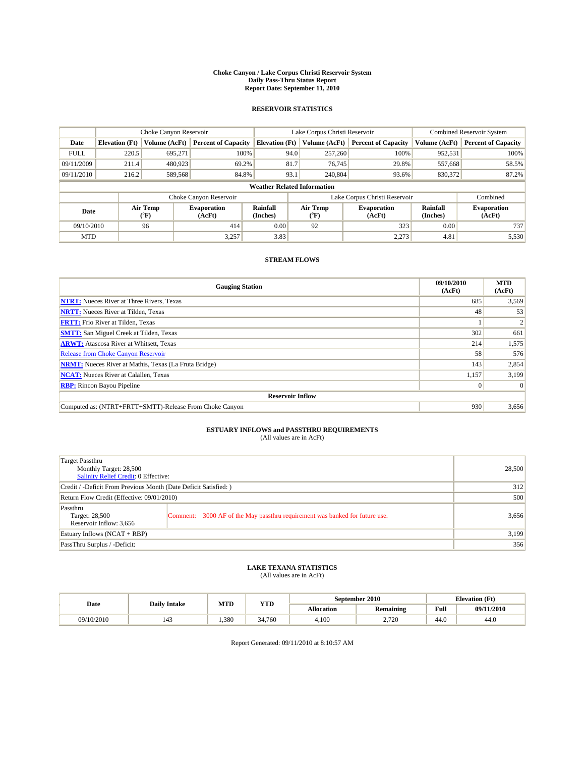#### **Choke Canyon / Lake Corpus Christi Reservoir System Daily Pass-Thru Status Report Report Date: September 11, 2010**

### **RESERVOIR STATISTICS**

|             | Choke Canyon Reservoir             |                      |                              |                             | Lake Corpus Christi Reservoir |                               |                      | <b>Combined Reservoir System</b> |  |  |
|-------------|------------------------------------|----------------------|------------------------------|-----------------------------|-------------------------------|-------------------------------|----------------------|----------------------------------|--|--|
| Date        | <b>Elevation</b> (Ft)              | <b>Volume (AcFt)</b> | <b>Percent of Capacity</b>   | <b>Elevation</b> (Ft)       | Volume (AcFt)                 | <b>Percent of Capacity</b>    | Volume (AcFt)        | <b>Percent of Capacity</b>       |  |  |
| <b>FULL</b> | 220.5                              | 695,271              | 100%                         | 94.0                        | 257,260                       | 100%                          | 952,531              | 100%                             |  |  |
| 09/11/2009  | 211.4                              | 480,923              | 69.2%                        | 81.7                        | 76,745                        | 29.8%                         | 557,668              | 58.5%                            |  |  |
| 09/11/2010  | 216.2                              | 589,568              | 84.8%                        | 93.1                        | 240,804                       | 93.6%                         | 830,372              | 87.2%                            |  |  |
|             | <b>Weather Related Information</b> |                      |                              |                             |                               |                               |                      |                                  |  |  |
|             |                                    |                      | Choke Canyon Reservoir       |                             |                               | Lake Corpus Christi Reservoir |                      | Combined                         |  |  |
| Date        |                                    | Air Temp<br>(°F)     | <b>Evaporation</b><br>(AcFt) | <b>Rainfall</b><br>(Inches) | Air Temp<br>(°F)              | <b>Evaporation</b><br>(AcFt)  | Rainfall<br>(Inches) | <b>Evaporation</b><br>(AcFt)     |  |  |
| 09/10/2010  |                                    | 96                   | 414                          | 0.00                        | 92                            | 323                           | 0.00                 | 737                              |  |  |
| <b>MTD</b>  |                                    |                      | 3.257                        | 3.83                        |                               | 2,273                         | 4.81                 | 5,530                            |  |  |

### **STREAM FLOWS**

| <b>Gauging Station</b>                                       | 09/10/2010<br>(AcFt) | <b>MTD</b><br>(AcFt) |  |  |  |  |  |
|--------------------------------------------------------------|----------------------|----------------------|--|--|--|--|--|
| <b>NTRT:</b> Nueces River at Three Rivers, Texas             | 685                  | 3,569                |  |  |  |  |  |
| <b>NRTT:</b> Nueces River at Tilden, Texas                   | 48                   | 53                   |  |  |  |  |  |
| <b>FRTT:</b> Frio River at Tilden, Texas                     |                      |                      |  |  |  |  |  |
| <b>SMTT:</b> San Miguel Creek at Tilden, Texas               | 302                  | 661                  |  |  |  |  |  |
| <b>ARWT:</b> Atascosa River at Whitsett, Texas               | 214                  | 1,575                |  |  |  |  |  |
| <b>Release from Choke Canyon Reservoir</b>                   | 58                   | 576                  |  |  |  |  |  |
| <b>NRMT:</b> Nueces River at Mathis, Texas (La Fruta Bridge) | 143                  | 2,854                |  |  |  |  |  |
| <b>NCAT:</b> Nueces River at Calallen, Texas                 | 1,157                | 3,199                |  |  |  |  |  |
| <b>RBP:</b> Rincon Bayou Pipeline                            | $\vert 0 \vert$      | $\Omega$             |  |  |  |  |  |
| <b>Reservoir Inflow</b>                                      |                      |                      |  |  |  |  |  |
| Computed as: (NTRT+FRTT+SMTT)-Release From Choke Canyon      | 930                  | 3,656                |  |  |  |  |  |

# **ESTUARY INFLOWS and PASSTHRU REQUIREMENTS**<br>(All values are in AcFt)

| Target Passthru<br>Monthly Target: 28,500<br>Salinity Relief Credit: 0 Effective: |                                                                             | 28,500 |
|-----------------------------------------------------------------------------------|-----------------------------------------------------------------------------|--------|
| Credit / -Deficit From Previous Month (Date Deficit Satisfied: )                  | 312                                                                         |        |
| Return Flow Credit (Effective: 09/01/2010)                                        | 500                                                                         |        |
| Passthru<br>Target: 28,500<br>Reservoir Inflow: 3,656                             | Comment: 3000 AF of the May passthru requirement was banked for future use. | 3,656  |
| Estuary Inflows (NCAT + RBP)                                                      |                                                                             | 3,199  |
| PassThru Surplus / -Deficit:                                                      | 356                                                                         |        |

## **LAKE TEXANA STATISTICS** (All values are in AcFt)

|            | <b>Daily Intake</b> | MTD  | <b>YTD</b> |                   | September 2010   |      | <b>Elevation</b> (Ft) |
|------------|---------------------|------|------------|-------------------|------------------|------|-----------------------|
| Date       |                     |      |            | <b>Allocation</b> | <b>Remaining</b> | Full | 09/11/2010            |
| 09/10/2010 | <br>$\Delta$<br>--  | .380 | 34,760     | 4,100             | 2.720            | 44.0 | 44.0                  |

Report Generated: 09/11/2010 at 8:10:57 AM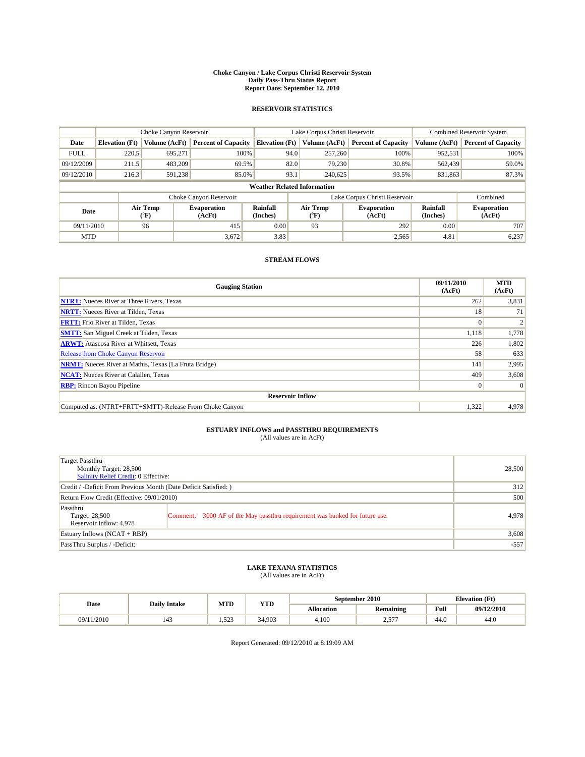#### **Choke Canyon / Lake Corpus Christi Reservoir System Daily Pass-Thru Status Report Report Date: September 12, 2010**

### **RESERVOIR STATISTICS**

|             | Choke Canyon Reservoir             |                      |                              |                             | Lake Corpus Christi Reservoir |                               |                      | <b>Combined Reservoir System</b> |  |  |
|-------------|------------------------------------|----------------------|------------------------------|-----------------------------|-------------------------------|-------------------------------|----------------------|----------------------------------|--|--|
| Date        | <b>Elevation</b> (Ft)              | <b>Volume (AcFt)</b> | <b>Percent of Capacity</b>   | <b>Elevation</b> (Ft)       | Volume (AcFt)                 | <b>Percent of Capacity</b>    | Volume (AcFt)        | <b>Percent of Capacity</b>       |  |  |
| <b>FULL</b> | 220.5                              | 695,271              | 100%                         | 94.0                        | 257,260                       | 100%                          | 952,531              | 100%                             |  |  |
| 09/12/2009  | 211.5                              | 483,209              | 69.5%                        | 82.0                        | 79,230                        | 30.8%                         | 562,439              | 59.0%                            |  |  |
| 09/12/2010  | 216.3                              | 591,238              | 85.0%                        | 93.1                        | 240,625                       | 93.5%                         | 831,863              | 87.3%                            |  |  |
|             | <b>Weather Related Information</b> |                      |                              |                             |                               |                               |                      |                                  |  |  |
|             |                                    |                      | Choke Canyon Reservoir       |                             |                               | Lake Corpus Christi Reservoir |                      | Combined                         |  |  |
| Date        |                                    | Air Temp<br>(°F)     | <b>Evaporation</b><br>(AcFt) | <b>Rainfall</b><br>(Inches) | Air Temp<br>(°F)              | <b>Evaporation</b><br>(AcFt)  | Rainfall<br>(Inches) | <b>Evaporation</b><br>(AcFt)     |  |  |
| 09/11/2010  |                                    | 96                   | 415                          | 0.00                        | 93                            | 292                           | 0.00                 | 707                              |  |  |
| <b>MTD</b>  |                                    |                      | 3,672                        | 3.83                        |                               | 2,565                         | 4.81                 | 6,237                            |  |  |

### **STREAM FLOWS**

| <b>Gauging Station</b>                                       | 09/11/2010<br>(AcFt) | <b>MTD</b><br>(AcFt) |
|--------------------------------------------------------------|----------------------|----------------------|
| <b>NTRT:</b> Nueces River at Three Rivers, Texas             | 262                  | 3,831                |
| <b>NRTT:</b> Nueces River at Tilden, Texas                   | 18                   | 71                   |
| <b>FRTT:</b> Frio River at Tilden, Texas                     | $\Omega$             |                      |
| <b>SMTT:</b> San Miguel Creek at Tilden, Texas               | 1,118                | 1,778                |
| <b>ARWT:</b> Atascosa River at Whitsett, Texas               | 226                  | 1,802                |
| <b>Release from Choke Canyon Reservoir</b>                   | 58                   | 633                  |
| <b>NRMT:</b> Nueces River at Mathis, Texas (La Fruta Bridge) | 141                  | 2,995                |
| <b>NCAT:</b> Nueces River at Calallen, Texas                 | 409                  | 3,608                |
| <b>RBP:</b> Rincon Bayou Pipeline                            | $\overline{0}$       | $\Omega$             |
| <b>Reservoir Inflow</b>                                      |                      |                      |
| Computed as: (NTRT+FRTT+SMTT)-Release From Choke Canyon      | 1.322                | 4,978                |

# **ESTUARY INFLOWS and PASSTHRU REQUIREMENTS**<br>(All values are in AcFt)

| Target Passthru<br>Monthly Target: 28,500<br>Salinity Relief Credit: 0 Effective: |                                                                             | 28,500 |
|-----------------------------------------------------------------------------------|-----------------------------------------------------------------------------|--------|
| Credit / -Deficit From Previous Month (Date Deficit Satisfied: )                  | 312                                                                         |        |
| Return Flow Credit (Effective: 09/01/2010)                                        | 500                                                                         |        |
| Passthru<br>Target: 28,500<br>Reservoir Inflow: 4,978                             | Comment: 3000 AF of the May passthru requirement was banked for future use. | 4.978  |
| Estuary Inflows (NCAT + RBP)                                                      |                                                                             | 3,608  |
| PassThru Surplus / -Deficit:                                                      | $-557$                                                                      |        |

## **LAKE TEXANA STATISTICS** (All values are in AcFt)

| Date       | <b>Daily Intake</b> | MTD   | YTD    |                   | September 2010   | <b>Elevation</b> (Ft) |            |
|------------|---------------------|-------|--------|-------------------|------------------|-----------------------|------------|
|            |                     |       |        | <b>Allocation</b> | <b>Remaining</b> | Full                  | 09/12/2010 |
| 09/11/2010 | 143                 | 1.523 | 34.903 | 4.100             | $---$<br>سە      | 44.0                  | 44.0       |

Report Generated: 09/12/2010 at 8:19:09 AM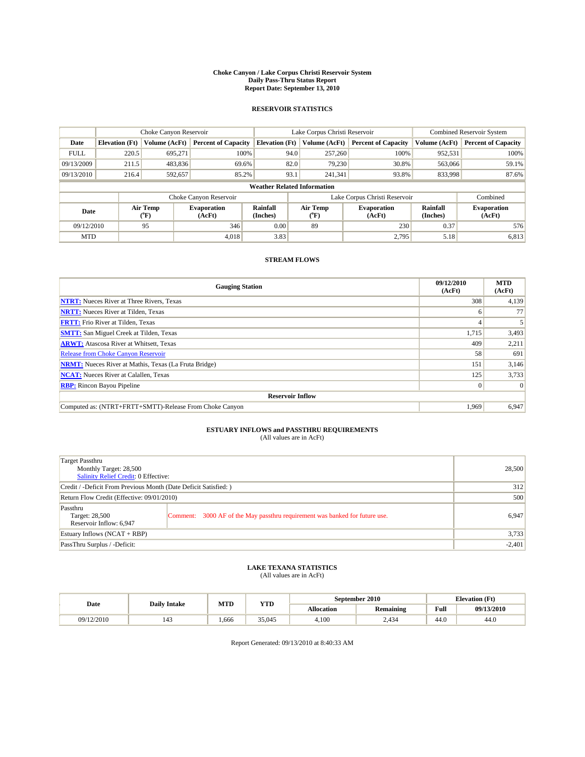#### **Choke Canyon / Lake Corpus Christi Reservoir System Daily Pass-Thru Status Report Report Date: September 13, 2010**

### **RESERVOIR STATISTICS**

|             | Choke Canyon Reservoir             |                                           |                              |                             | Lake Corpus Christi Reservoir |                               |                      | Combined Reservoir System    |  |  |
|-------------|------------------------------------|-------------------------------------------|------------------------------|-----------------------------|-------------------------------|-------------------------------|----------------------|------------------------------|--|--|
| Date        | <b>Elevation</b> (Ft)              | <b>Volume (AcFt)</b>                      | <b>Percent of Capacity</b>   | <b>Elevation</b> (Ft)       | Volume (AcFt)                 | <b>Percent of Capacity</b>    | Volume (AcFt)        | <b>Percent of Capacity</b>   |  |  |
| <b>FULL</b> | 220.5                              | 695,271                                   | 100%                         | 94.0                        | 257,260                       | 100%                          | 952,531              | 100%                         |  |  |
| 09/13/2009  | 211.5                              | 483,836                                   | 69.6%                        | 82.0                        | 79,230                        | 30.8%                         | 563,066              | 59.1%                        |  |  |
| 09/13/2010  | 216.4                              | 592,657                                   | 85.2%                        | 93.1                        | 241,341                       | 93.8%                         | 833,998              | 87.6%                        |  |  |
|             | <b>Weather Related Information</b> |                                           |                              |                             |                               |                               |                      |                              |  |  |
|             |                                    |                                           | Choke Canyon Reservoir       |                             |                               | Lake Corpus Christi Reservoir |                      | Combined                     |  |  |
| Date        |                                    | Air Temp<br>$({}^{\mathrm{o}}\mathrm{F})$ | <b>Evaporation</b><br>(AcFt) | <b>Rainfall</b><br>(Inches) | Air Temp<br>(°F)              | <b>Evaporation</b><br>(AcFt)  | Rainfall<br>(Inches) | <b>Evaporation</b><br>(AcFt) |  |  |
| 09/12/2010  |                                    | 95                                        | 346                          | 0.00                        | 89                            | 230                           | 0.37                 | 576                          |  |  |
| <b>MTD</b>  |                                    |                                           | 4.018                        | 3.83                        |                               | 2.795                         | 5.18                 | 6,813                        |  |  |

### **STREAM FLOWS**

| <b>Gauging Station</b>                                       | 09/12/2010<br>(AcFt) | <b>MTD</b><br>(AcFt) |  |  |  |  |  |
|--------------------------------------------------------------|----------------------|----------------------|--|--|--|--|--|
| <b>NTRT:</b> Nueces River at Three Rivers, Texas             | 308                  | 4,139                |  |  |  |  |  |
| <b>NRTT:</b> Nueces River at Tilden, Texas                   | 6                    | 77                   |  |  |  |  |  |
| <b>FRTT:</b> Frio River at Tilden, Texas                     |                      |                      |  |  |  |  |  |
| <b>SMTT:</b> San Miguel Creek at Tilden, Texas               | 1,715                | 3,493                |  |  |  |  |  |
| <b>ARWT:</b> Atascosa River at Whitsett, Texas               | 409                  | 2,211                |  |  |  |  |  |
| <b>Release from Choke Canyon Reservoir</b>                   | 58                   | 691                  |  |  |  |  |  |
| <b>NRMT:</b> Nueces River at Mathis, Texas (La Fruta Bridge) | 151                  | 3,146                |  |  |  |  |  |
| <b>NCAT:</b> Nueces River at Calallen, Texas                 | 125                  | 3,733                |  |  |  |  |  |
| <b>RBP:</b> Rincon Bayou Pipeline                            | $\overline{0}$       | $\Omega$             |  |  |  |  |  |
| <b>Reservoir Inflow</b>                                      |                      |                      |  |  |  |  |  |
| Computed as: (NTRT+FRTT+SMTT)-Release From Choke Canyon      | 1,969                | 6,947                |  |  |  |  |  |

## **ESTUARY INFLOWS and PASSTHRU REQUIREMENTS**<br>(All values are in AcFt)

| Target Passthru<br>Monthly Target: 28,500<br>Salinity Relief Credit: 0 Effective: |                                                                             | 28,500   |
|-----------------------------------------------------------------------------------|-----------------------------------------------------------------------------|----------|
| Credit / -Deficit From Previous Month (Date Deficit Satisfied: )                  |                                                                             | 312      |
| Return Flow Credit (Effective: 09/01/2010)                                        | 500                                                                         |          |
| Passthru<br>Target: 28,500<br>Reservoir Inflow: 6,947                             | Comment: 3000 AF of the May passthru requirement was banked for future use. | 6,947    |
| Estuary Inflows (NCAT + RBP)                                                      |                                                                             | 3,733    |
| PassThru Surplus / -Deficit:                                                      |                                                                             | $-2,401$ |

# **LAKE TEXANA STATISTICS** (All values are in AcFt)

|            | <b>Daily Intake</b> | MTD  | YTD    | September 2010 |                  |      | <b>Elevation</b> (Ft) |
|------------|---------------------|------|--------|----------------|------------------|------|-----------------------|
| Date       |                     |      |        | Allocation     | <b>Remaining</b> | Full | 09/13/2010            |
| 09/12/2010 | 143                 | .666 | 35,045 | 4,100          | 2,434            | 44.0 | 44.0                  |

Report Generated: 09/13/2010 at 8:40:33 AM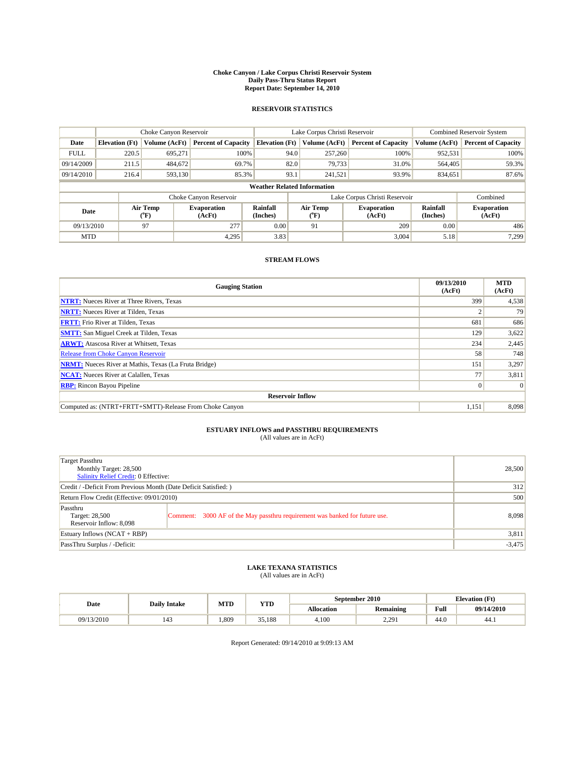#### **Choke Canyon / Lake Corpus Christi Reservoir System Daily Pass-Thru Status Report Report Date: September 14, 2010**

### **RESERVOIR STATISTICS**

|             | Choke Canyon Reservoir             |                                           |                              |                             | Lake Corpus Christi Reservoir  | <b>Combined Reservoir System</b> |                      |                              |  |  |
|-------------|------------------------------------|-------------------------------------------|------------------------------|-----------------------------|--------------------------------|----------------------------------|----------------------|------------------------------|--|--|
| Date        | <b>Elevation</b> (Ft)              | Volume (AcFt)                             | <b>Percent of Capacity</b>   | <b>Elevation</b> (Ft)       | Volume (AcFt)                  | <b>Percent of Capacity</b>       | Volume (AcFt)        | <b>Percent of Capacity</b>   |  |  |
| <b>FULL</b> | 220.5                              | 695.271                                   | 100%                         | 94.0                        | 257,260                        | 100%                             | 952,531              | 100%                         |  |  |
| 09/14/2009  | 211.5                              | 484,672                                   | 69.7%                        | 82.0                        | 79,733                         | 31.0%                            | 564,405              | 59.3%                        |  |  |
| 09/14/2010  | 216.4                              | 593,130                                   | 85.3%                        | 93.1                        | 241,521                        | 93.9%                            | 834,651              | 87.6%                        |  |  |
|             | <b>Weather Related Information</b> |                                           |                              |                             |                                |                                  |                      |                              |  |  |
|             |                                    |                                           | Choke Canyon Reservoir       |                             |                                | Lake Corpus Christi Reservoir    |                      | Combined                     |  |  |
| Date        |                                    | Air Temp<br>$({}^{\mathrm{o}}\mathrm{F})$ | <b>Evaporation</b><br>(AcFt) | <b>Rainfall</b><br>(Inches) | Air Temp<br>$({}^o\mathrm{F})$ | <b>Evaporation</b><br>(AcFt)     | Rainfall<br>(Inches) | <b>Evaporation</b><br>(AcFt) |  |  |
| 09/13/2010  |                                    | 97                                        | 277                          | 0.00                        | 91                             | 209                              | 0.00                 | 486                          |  |  |
| <b>MTD</b>  |                                    |                                           | 4.295                        | 3.83                        |                                | 3.004                            | 5.18                 | 7,299                        |  |  |

### **STREAM FLOWS**

| <b>Gauging Station</b>                                       | 09/13/2010<br>(AcFt) | <b>MTD</b><br>(AcFt) |  |  |  |  |
|--------------------------------------------------------------|----------------------|----------------------|--|--|--|--|
| <b>NTRT:</b> Nueces River at Three Rivers, Texas             | 399                  | 4,538                |  |  |  |  |
| <b>NRTT:</b> Nueces River at Tilden, Texas                   |                      | 79                   |  |  |  |  |
| <b>FRTT:</b> Frio River at Tilden, Texas                     | 681                  | 686                  |  |  |  |  |
| <b>SMTT:</b> San Miguel Creek at Tilden, Texas               | 129                  | 3,622                |  |  |  |  |
| <b>ARWT:</b> Atascosa River at Whitsett, Texas               | 234                  | 2,445                |  |  |  |  |
| <b>Release from Choke Canyon Reservoir</b>                   | 58                   | 748                  |  |  |  |  |
| <b>NRMT:</b> Nueces River at Mathis, Texas (La Fruta Bridge) | 151                  | 3,297                |  |  |  |  |
| <b>NCAT:</b> Nueces River at Calallen, Texas                 | 77                   | 3,811                |  |  |  |  |
| <b>RBP:</b> Rincon Bayou Pipeline                            | $\overline{0}$       | $\Omega$             |  |  |  |  |
| <b>Reservoir Inflow</b>                                      |                      |                      |  |  |  |  |
| Computed as: (NTRT+FRTT+SMTT)-Release From Choke Canyon      | 1,151                | 8,098                |  |  |  |  |

# **ESTUARY INFLOWS and PASSTHRU REQUIREMENTS**<br>(All values are in AcFt)

| Target Passthru<br>Monthly Target: 28,500<br>Salinity Relief Credit: 0 Effective: |                                                                             | 28,500 |
|-----------------------------------------------------------------------------------|-----------------------------------------------------------------------------|--------|
| Credit / -Deficit From Previous Month (Date Deficit Satisfied: )                  | 312                                                                         |        |
| Return Flow Credit (Effective: 09/01/2010)                                        | 500                                                                         |        |
| Passthru<br>Target: 28,500<br>Reservoir Inflow: 8,098                             | Comment: 3000 AF of the May passthru requirement was banked for future use. | 8.098  |
| Estuary Inflows (NCAT + RBP)                                                      |                                                                             | 3,811  |
| PassThru Surplus / -Deficit:                                                      | $-3,475$                                                                    |        |

# **LAKE TEXANA STATISTICS** (All values are in AcFt)

|            | <b>Daily Intake</b>   | MTD  | YTD    |                   | September 2010              |      | <b>Elevation</b> (Ft) |
|------------|-----------------------|------|--------|-------------------|-----------------------------|------|-----------------------|
| Date       |                       |      |        | <b>Allocation</b> | <b>Remaining</b>            | Full | 09/14/2010            |
| 09/13/2010 | $\overline{a}$<br>143 | .809 | 35.188 | 4.100             | 1.291<br><i><u>____</u></i> | 44.0 | 44.1                  |

Report Generated: 09/14/2010 at 9:09:13 AM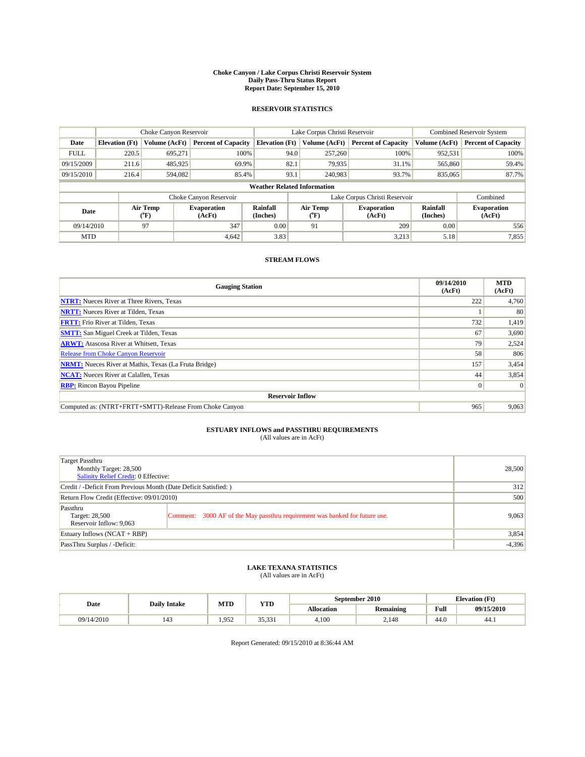#### **Choke Canyon / Lake Corpus Christi Reservoir System Daily Pass-Thru Status Report Report Date: September 15, 2010**

### **RESERVOIR STATISTICS**

|             | Choke Canyon Reservoir             |                                           |                              |                             | Lake Corpus Christi Reservoir |                               |                      | <b>Combined Reservoir System</b> |  |  |
|-------------|------------------------------------|-------------------------------------------|------------------------------|-----------------------------|-------------------------------|-------------------------------|----------------------|----------------------------------|--|--|
| Date        | <b>Elevation</b> (Ft)              | <b>Volume (AcFt)</b>                      | <b>Percent of Capacity</b>   | <b>Elevation</b> (Ft)       | Volume (AcFt)                 | <b>Percent of Capacity</b>    | Volume (AcFt)        | <b>Percent of Capacity</b>       |  |  |
| <b>FULL</b> | 220.5                              | 695,271                                   | 100%                         | 94.0                        | 257,260                       | 100%                          | 952,531              | 100%                             |  |  |
| 09/15/2009  | 211.6                              | 485,925                                   | 69.9%                        | 82.1                        | 79,935                        | 31.1%                         | 565,860              | 59.4%                            |  |  |
| 09/15/2010  | 216.4                              | 594,082                                   | 85.4%                        | 93.1                        | 240,983                       | 93.7%                         | 835,065              | 87.7%                            |  |  |
|             | <b>Weather Related Information</b> |                                           |                              |                             |                               |                               |                      |                                  |  |  |
|             |                                    |                                           | Choke Canyon Reservoir       |                             |                               | Lake Corpus Christi Reservoir |                      | Combined                         |  |  |
| Date        |                                    | Air Temp<br>$({}^{\mathrm{o}}\mathrm{F})$ | <b>Evaporation</b><br>(AcFt) | <b>Rainfall</b><br>(Inches) | Air Temp<br>(°F)              | <b>Evaporation</b><br>(AcFt)  | Rainfall<br>(Inches) | <b>Evaporation</b><br>(AcFt)     |  |  |
| 09/14/2010  |                                    | 97                                        | 347                          | 0.00                        | 91                            | 209                           | 0.00                 | 556                              |  |  |
| <b>MTD</b>  |                                    |                                           | 4,642                        | 3.83                        |                               | 3,213                         | 5.18                 | 7,855                            |  |  |

### **STREAM FLOWS**

| <b>Gauging Station</b>                                       | 09/14/2010<br>(AcFt) | <b>MTD</b><br>(AcFt) |  |  |  |  |  |
|--------------------------------------------------------------|----------------------|----------------------|--|--|--|--|--|
| <b>NTRT:</b> Nueces River at Three Rivers, Texas             | 222                  | 4,760                |  |  |  |  |  |
| <b>NRTT:</b> Nueces River at Tilden, Texas                   |                      | 80                   |  |  |  |  |  |
| <b>FRTT:</b> Frio River at Tilden, Texas                     | 732                  | 1,419                |  |  |  |  |  |
| <b>SMTT:</b> San Miguel Creek at Tilden, Texas               | 67                   | 3,690                |  |  |  |  |  |
| <b>ARWT:</b> Atascosa River at Whitsett, Texas               | 79                   | 2,524                |  |  |  |  |  |
| <b>Release from Choke Canyon Reservoir</b>                   | 58                   | 806                  |  |  |  |  |  |
| <b>NRMT:</b> Nueces River at Mathis, Texas (La Fruta Bridge) | 157                  | 3,454                |  |  |  |  |  |
| <b>NCAT:</b> Nueces River at Calallen, Texas                 | 44                   | 3,854                |  |  |  |  |  |
| <b>RBP:</b> Rincon Bayou Pipeline                            | $\overline{0}$       | $\Omega$             |  |  |  |  |  |
| <b>Reservoir Inflow</b>                                      |                      |                      |  |  |  |  |  |
| Computed as: (NTRT+FRTT+SMTT)-Release From Choke Canyon      | 965                  | 9,063                |  |  |  |  |  |

# **ESTUARY INFLOWS and PASSTHRU REQUIREMENTS**<br>(All values are in AcFt)

| Target Passthru<br>Monthly Target: 28,500<br>Salinity Relief Credit: 0 Effective: | 28,500                                                                      |       |
|-----------------------------------------------------------------------------------|-----------------------------------------------------------------------------|-------|
| Credit / -Deficit From Previous Month (Date Deficit Satisfied: )                  | 312                                                                         |       |
| Return Flow Credit (Effective: 09/01/2010)                                        | 500                                                                         |       |
| Passthru<br>Target: 28,500<br>Reservoir Inflow: 9,063                             | Comment: 3000 AF of the May passthru requirement was banked for future use. | 9,063 |
| Estuary Inflows (NCAT + RBP)                                                      |                                                                             | 3,854 |
| PassThru Surplus / -Deficit:                                                      | $-4,396$                                                                    |       |

# **LAKE TEXANA STATISTICS** (All values are in AcFt)

| Date       | <b>Daily Intake</b> |       | MTD<br>YTD      | September 2010    |                  | <b>Elevation</b> (Ft) |            |
|------------|---------------------|-------|-----------------|-------------------|------------------|-----------------------|------------|
|            |                     |       |                 | <b>Allocation</b> | <b>Remaining</b> | Full                  | 09/15/2010 |
| 09/14/2010 | 143                 | 1.952 | 2521<br><i></i> | 4.100             | 2.148            | 44.0                  | 44.1       |

Report Generated: 09/15/2010 at 8:36:44 AM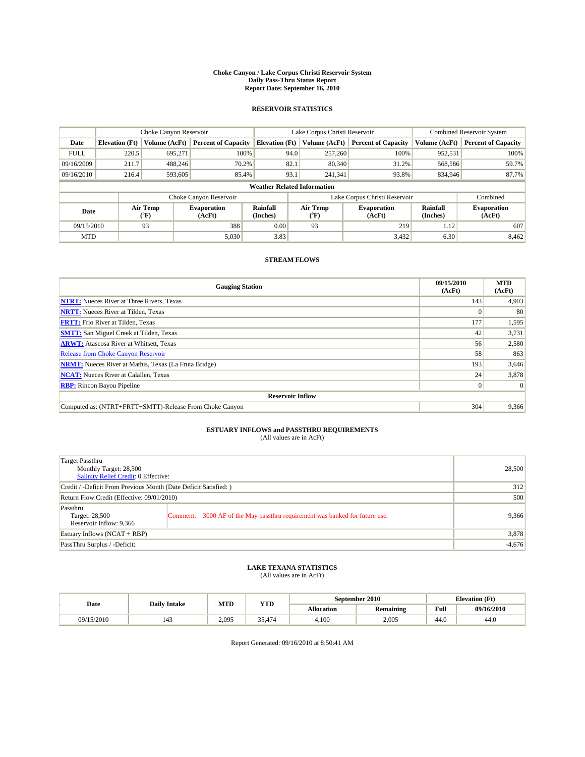#### **Choke Canyon / Lake Corpus Christi Reservoir System Daily Pass-Thru Status Report Report Date: September 16, 2010**

### **RESERVOIR STATISTICS**

|             | Choke Canyon Reservoir             |                             |                              |                             | Lake Corpus Christi Reservoir | <b>Combined Reservoir System</b> |                      |                              |  |  |
|-------------|------------------------------------|-----------------------------|------------------------------|-----------------------------|-------------------------------|----------------------------------|----------------------|------------------------------|--|--|
| Date        | <b>Elevation</b> (Ft)              | <b>Volume (AcFt)</b>        | <b>Percent of Capacity</b>   | <b>Elevation</b> (Ft)       | Volume (AcFt)                 | <b>Percent of Capacity</b>       | Volume (AcFt)        | <b>Percent of Capacity</b>   |  |  |
| <b>FULL</b> | 220.5                              | 695,271                     | 100%                         | 94.0                        | 257,260                       | 100%                             | 952,531              | 100%                         |  |  |
| 09/16/2009  | 211.7                              | 488.246                     | 70.2%                        | 82.1                        | 80,340                        | 31.2%                            | 568,586              | 59.7%                        |  |  |
| 09/16/2010  | 216.4                              | 593,605                     | 85.4%                        | 93.1                        | 241,341                       | 93.8%                            | 834,946              | 87.7%                        |  |  |
|             | <b>Weather Related Information</b> |                             |                              |                             |                               |                                  |                      |                              |  |  |
|             |                                    |                             | Choke Canyon Reservoir       |                             |                               | Lake Corpus Christi Reservoir    |                      | Combined                     |  |  |
| Date        |                                    | Air Temp<br>${}^{\circ}$ F) | <b>Evaporation</b><br>(AcFt) | <b>Rainfall</b><br>(Inches) | Air Temp<br>$(^oF)$           | <b>Evaporation</b><br>(AcFt)     | Rainfall<br>(Inches) | <b>Evaporation</b><br>(AcFt) |  |  |
| 09/15/2010  |                                    | 93                          | 388                          | 0.00                        | 93                            | 219                              | 1.12                 | 607                          |  |  |
| <b>MTD</b>  |                                    |                             | 5,030                        | 3.83                        |                               | 3,432                            | 6.30                 | 8,462                        |  |  |

### **STREAM FLOWS**

| <b>Gauging Station</b>                                       | 09/15/2010<br>(AcFt) | <b>MTD</b><br>(AcFt) |
|--------------------------------------------------------------|----------------------|----------------------|
| <b>NTRT:</b> Nueces River at Three Rivers, Texas             | 143                  | 4,903                |
| <b>NRTT:</b> Nueces River at Tilden, Texas                   | $\Omega$             | 80                   |
| <b>FRTT:</b> Frio River at Tilden, Texas                     | 177                  | 1,595                |
| <b>SMTT:</b> San Miguel Creek at Tilden, Texas               | 42                   | 3,731                |
| <b>ARWT:</b> Atascosa River at Whitsett, Texas               | 56                   | 2,580                |
| <b>Release from Choke Canyon Reservoir</b>                   | 58                   | 863                  |
| <b>NRMT:</b> Nueces River at Mathis, Texas (La Fruta Bridge) | 193                  | 3,646                |
| <b>NCAT:</b> Nueces River at Calallen, Texas                 | 24                   | 3,878                |
| <b>RBP:</b> Rincon Bayou Pipeline                            | $\overline{0}$       | $\Omega$             |
| <b>Reservoir Inflow</b>                                      |                      |                      |
| Computed as: (NTRT+FRTT+SMTT)-Release From Choke Canyon      | 304                  | 9,366                |

# **ESTUARY INFLOWS and PASSTHRU REQUIREMENTS**<br>(All values are in AcFt)

| Target Passthru<br>Monthly Target: 28,500<br>Salinity Relief Credit: 0 Effective: |                                                                             | 28,500   |
|-----------------------------------------------------------------------------------|-----------------------------------------------------------------------------|----------|
| Credit / -Deficit From Previous Month (Date Deficit Satisfied: )                  |                                                                             | 312      |
| Return Flow Credit (Effective: 09/01/2010)                                        |                                                                             | 500      |
| Passthru<br>Target: 28,500<br>Reservoir Inflow: 9.366                             | Comment: 3000 AF of the May passthru requirement was banked for future use. | 9.366    |
| Estuary Inflows (NCAT + RBP)                                                      |                                                                             | 3,878    |
| PassThru Surplus / -Deficit:                                                      |                                                                             | $-4,676$ |

# **LAKE TEXANA STATISTICS** (All values are in AcFt)

|            | <b>Daily Intake</b> | MTD   | YTD    |                   | September 2010   |      | <b>Elevation</b> (Ft) |
|------------|---------------------|-------|--------|-------------------|------------------|------|-----------------------|
| Date       |                     |       |        | <b>Allocation</b> | <b>Remaining</b> | Full | 09/16/2010            |
| 09/15/2010 |                     | 2,095 | 35 474 | 4.100             | 2.005            | 44.0 | 44.0                  |

Report Generated: 09/16/2010 at 8:50:41 AM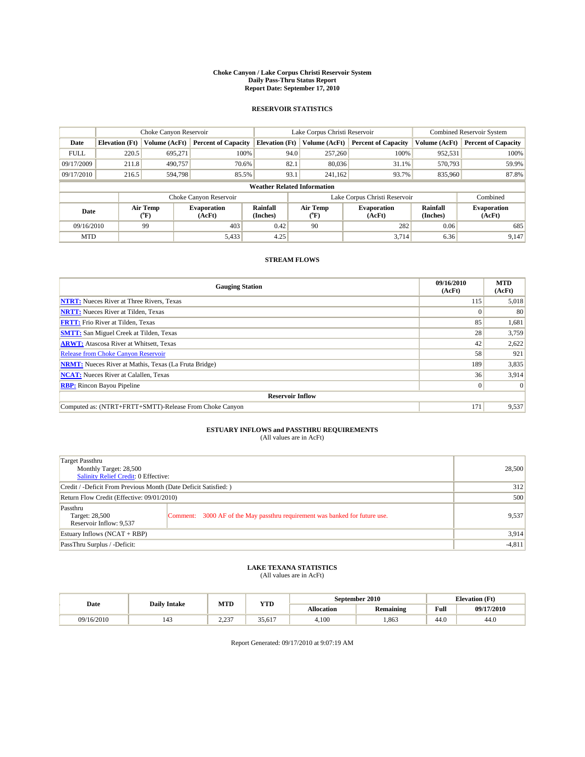#### **Choke Canyon / Lake Corpus Christi Reservoir System Daily Pass-Thru Status Report Report Date: September 17, 2010**

### **RESERVOIR STATISTICS**

|             | Choke Canyon Reservoir             |                                           |                              |                             | Lake Corpus Christi Reservoir | Combined Reservoir System     |                      |                              |  |  |
|-------------|------------------------------------|-------------------------------------------|------------------------------|-----------------------------|-------------------------------|-------------------------------|----------------------|------------------------------|--|--|
| Date        | <b>Elevation</b> (Ft)              | <b>Volume (AcFt)</b>                      | <b>Percent of Capacity</b>   | <b>Elevation</b> (Ft)       | Volume (AcFt)                 | <b>Percent of Capacity</b>    | Volume (AcFt)        | <b>Percent of Capacity</b>   |  |  |
| <b>FULL</b> | 220.5                              | 695,271                                   | 100%                         | 94.0                        | 257,260                       | 100%                          | 952,531              | 100%                         |  |  |
| 09/17/2009  | 211.8                              | 490,757                                   | 70.6%                        | 82.1                        | 80,036                        | 31.1%                         | 570,793              | 59.9%                        |  |  |
| 09/17/2010  | 216.5                              | 594,798                                   | 85.5%                        | 93.1                        | 241,162                       | 93.7%                         | 835,960              | 87.8%                        |  |  |
|             | <b>Weather Related Information</b> |                                           |                              |                             |                               |                               |                      |                              |  |  |
|             |                                    |                                           | Choke Canyon Reservoir       |                             |                               | Lake Corpus Christi Reservoir |                      | Combined                     |  |  |
| Date        |                                    | Air Temp<br>$({}^{\mathrm{o}}\mathrm{F})$ | <b>Evaporation</b><br>(AcFt) | <b>Rainfall</b><br>(Inches) | Air Temp<br>(°F)              | <b>Evaporation</b><br>(AcFt)  | Rainfall<br>(Inches) | <b>Evaporation</b><br>(AcFt) |  |  |
| 09/16/2010  |                                    | 99                                        | 403                          | 0.42                        | 90                            | 282                           | 0.06                 | 685                          |  |  |
| <b>MTD</b>  |                                    |                                           | 5,433                        | 4.25                        |                               | 3.714                         | 6.36                 | 9,147                        |  |  |

### **STREAM FLOWS**

| <b>Gauging Station</b>                                       | 09/16/2010<br>(AcFt) | <b>MTD</b><br>(AcFt) |
|--------------------------------------------------------------|----------------------|----------------------|
| <b>NTRT:</b> Nueces River at Three Rivers, Texas             | 115                  | 5,018                |
| <b>NRTT:</b> Nueces River at Tilden, Texas                   | $\Omega$             | 80                   |
| <b>FRTT:</b> Frio River at Tilden, Texas                     | 85                   | 1,681                |
| <b>SMTT:</b> San Miguel Creek at Tilden, Texas               | 28                   | 3,759                |
| <b>ARWT:</b> Atascosa River at Whitsett, Texas               | 42                   | 2,622                |
| Release from Choke Canyon Reservoir                          | 58                   | 921                  |
| <b>NRMT:</b> Nueces River at Mathis, Texas (La Fruta Bridge) | 189                  | 3,835                |
| <b>NCAT:</b> Nueces River at Calallen, Texas                 | 36                   | 3,914                |
| <b>RBP:</b> Rincon Bayou Pipeline                            | $\overline{0}$       | $\Omega$             |
| <b>Reservoir Inflow</b>                                      |                      |                      |
| Computed as: (NTRT+FRTT+SMTT)-Release From Choke Canyon      | 171                  | 9,537                |

# **ESTUARY INFLOWS and PASSTHRU REQUIREMENTS**<br>(All values are in AcFt)

| Target Passthru<br>Monthly Target: 28,500<br>Salinity Relief Credit: 0 Effective: |                                                                             | 28,500   |
|-----------------------------------------------------------------------------------|-----------------------------------------------------------------------------|----------|
| Credit / -Deficit From Previous Month (Date Deficit Satisfied: )                  |                                                                             | 312      |
| Return Flow Credit (Effective: 09/01/2010)                                        | 500                                                                         |          |
| Passthru<br>Target: 28,500<br>Reservoir Inflow: 9,537                             | Comment: 3000 AF of the May passthru requirement was banked for future use. | 9,537    |
| Estuary Inflows (NCAT + RBP)                                                      |                                                                             | 3,914    |
| PassThru Surplus / -Deficit:                                                      |                                                                             | $-4,811$ |

# **LAKE TEXANA STATISTICS** (All values are in AcFt)

|            | <b>Daily Intake</b> | MTD               | YTD    |            | September 2010 |      | <b>Elevation</b> (Ft) |
|------------|---------------------|-------------------|--------|------------|----------------|------|-----------------------|
| Date       |                     |                   |        | Allocation | Remaining      | Full | 09/17/2010            |
| 09/16/2010 |                     | בכת ה<br><u>ے</u> | 35,617 | 4.100      | .863           | 44.0 | 44.0                  |

Report Generated: 09/17/2010 at 9:07:19 AM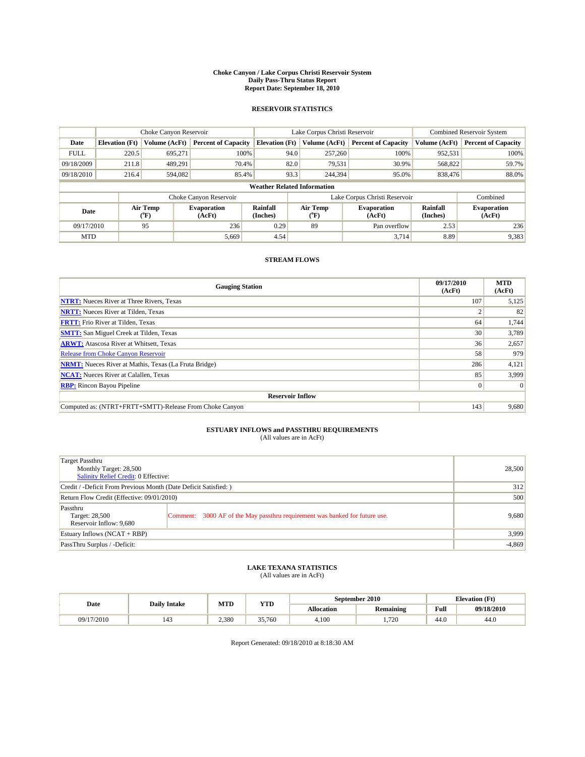#### **Choke Canyon / Lake Corpus Christi Reservoir System Daily Pass-Thru Status Report Report Date: September 18, 2010**

### **RESERVOIR STATISTICS**

|             | Choke Canyon Reservoir             |                             |                              |                       | Lake Corpus Christi Reservoir |               |                               |                      | <b>Combined Reservoir System</b> |  |  |
|-------------|------------------------------------|-----------------------------|------------------------------|-----------------------|-------------------------------|---------------|-------------------------------|----------------------|----------------------------------|--|--|
| Date        | <b>Elevation</b> (Ft)              | <b>Volume (AcFt)</b>        | <b>Percent of Capacity</b>   | <b>Elevation</b> (Ft) |                               | Volume (AcFt) | <b>Percent of Capacity</b>    | Volume (AcFt)        | <b>Percent of Capacity</b>       |  |  |
| <b>FULL</b> | 220.5                              | 695,271                     | 100%                         |                       | 94.0                          | 257,260       | 100%                          | 952,531              | 100%                             |  |  |
| 09/18/2009  | 211.8                              | 489.291                     | 70.4%                        |                       | 82.0                          | 79,531        | 30.9%                         | 568,822              | 59.7%                            |  |  |
| 09/18/2010  | 216.4                              | 594,082                     | 85.4%                        |                       | 93.3                          | 244,394       | 95.0%                         | 838,476              | 88.0%                            |  |  |
|             | <b>Weather Related Information</b> |                             |                              |                       |                               |               |                               |                      |                                  |  |  |
|             |                                    |                             | Choke Canyon Reservoir       |                       |                               |               | Lake Corpus Christi Reservoir |                      | Combined                         |  |  |
| Date        |                                    | Air Temp<br>${}^{\circ}$ F) | <b>Evaporation</b><br>(AcFt) | Rainfall<br>(Inches)  | Air Temp<br>$\rm ^{(^o}\!F)$  |               | <b>Evaporation</b><br>(AcFt)  | Rainfall<br>(Inches) | <b>Evaporation</b><br>(AcFt)     |  |  |
| 09/17/2010  |                                    | 95                          | 236                          | 0.29                  | 89                            |               | Pan overflow                  | 2.53                 | 236                              |  |  |
| <b>MTD</b>  |                                    |                             | 5,669                        | 4.54                  |                               |               | 3,714                         | 8.89                 | 9,383                            |  |  |

### **STREAM FLOWS**

| <b>Gauging Station</b>                                       | 09/17/2010<br>(AcFt) | <b>MTD</b><br>(AcFt) |
|--------------------------------------------------------------|----------------------|----------------------|
| <b>NTRT:</b> Nueces River at Three Rivers, Texas             | 107                  | 5,125                |
| <b>NRTT:</b> Nueces River at Tilden, Texas                   |                      | 82                   |
| <b>FRTT:</b> Frio River at Tilden, Texas                     | 64                   | 1,744                |
| <b>SMTT:</b> San Miguel Creek at Tilden, Texas               | 30                   | 3,789                |
| <b>ARWT:</b> Atascosa River at Whitsett, Texas               | 36                   | 2,657                |
| Release from Choke Canyon Reservoir                          | 58                   | 979                  |
| <b>NRMT:</b> Nueces River at Mathis, Texas (La Fruta Bridge) | 286                  | 4,121                |
| <b>NCAT:</b> Nueces River at Calallen, Texas                 | 85                   | 3,999                |
| <b>RBP:</b> Rincon Bayou Pipeline                            | $\overline{0}$       | $\Omega$             |
| <b>Reservoir Inflow</b>                                      |                      |                      |
| Computed as: (NTRT+FRTT+SMTT)-Release From Choke Canyon      | 143                  | 9,680                |

# **ESTUARY INFLOWS and PASSTHRU REQUIREMENTS**<br>(All values are in AcFt)

| Target Passthru<br>Monthly Target: 28,500<br>Salinity Relief Credit: 0 Effective: |                                                                             | 28,500   |
|-----------------------------------------------------------------------------------|-----------------------------------------------------------------------------|----------|
| Credit / -Deficit From Previous Month (Date Deficit Satisfied: )                  |                                                                             | 312      |
| Return Flow Credit (Effective: 09/01/2010)                                        | 500                                                                         |          |
| Passthru<br>Target: 28,500<br>Reservoir Inflow: 9,680                             | Comment: 3000 AF of the May passthru requirement was banked for future use. | 9,680    |
| Estuary Inflows (NCAT + RBP)                                                      |                                                                             | 3,999    |
| PassThru Surplus / -Deficit:                                                      |                                                                             | $-4,869$ |

# **LAKE TEXANA STATISTICS** (All values are in AcFt)

|            | <b>Daily Intake</b> | MTD   | YTD    |                   | September 2010   |      | <b>Elevation</b> (Ft) |
|------------|---------------------|-------|--------|-------------------|------------------|------|-----------------------|
| Date       |                     |       |        | <b>Allocation</b> | <b>Remaining</b> | Full | 09/18/2010            |
| 09/17/2010 |                     | 2.380 | 35,760 | 4.100             | 720<br>$\sim$    | 44.0 | 44.0                  |

Report Generated: 09/18/2010 at 8:18:30 AM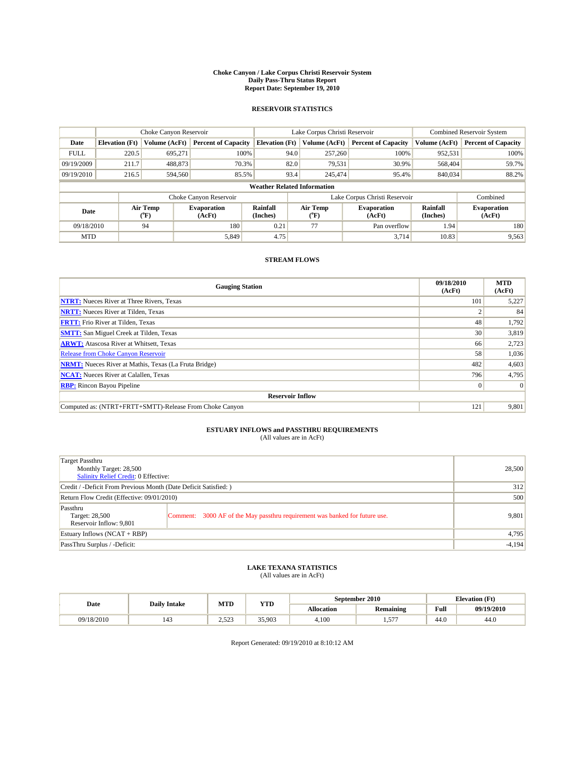#### **Choke Canyon / Lake Corpus Christi Reservoir System Daily Pass-Thru Status Report Report Date: September 19, 2010**

### **RESERVOIR STATISTICS**

|             | Choke Canyon Reservoir |                      | Lake Corpus Christi Reservoir |                                    |                               |                  | <b>Combined Reservoir System</b> |                      |                              |
|-------------|------------------------|----------------------|-------------------------------|------------------------------------|-------------------------------|------------------|----------------------------------|----------------------|------------------------------|
| Date        | <b>Elevation</b> (Ft)  | <b>Volume (AcFt)</b> | <b>Percent of Capacity</b>    | <b>Elevation</b> (Ft)              |                               | Volume (AcFt)    | <b>Percent of Capacity</b>       | Volume (AcFt)        | <b>Percent of Capacity</b>   |
| <b>FULL</b> | 220.5                  | 695,271              | 100%                          |                                    | 94.0                          | 257,260          | 100%                             | 952,531              | 100%                         |
| 09/19/2009  | 211.7                  | 488,873              | 70.3%                         |                                    | 82.0                          | 79,531           | 30.9%                            | 568,404              | 59.7%                        |
| 09/19/2010  | 216.5                  | 594,560              | 85.5%                         |                                    | 93.4                          | 245,474          | 95.4%                            | 840,034              | 88.2%                        |
|             |                        |                      |                               | <b>Weather Related Information</b> |                               |                  |                                  |                      |                              |
|             |                        |                      | Choke Canyon Reservoir        |                                    | Lake Corpus Christi Reservoir |                  |                                  |                      | Combined                     |
| Date        |                        | Air Temp<br>(°F)     | <b>Evaporation</b><br>(AcFt)  | Rainfall<br>(Inches)               |                               | Air Temp<br>("F) | <b>Evaporation</b><br>(AcFt)     | Rainfall<br>(Inches) | <b>Evaporation</b><br>(AcFt) |
| 09/18/2010  |                        | 94                   | 180                           | 0.21                               |                               | 77               | Pan overflow                     | 1.94                 | 180                          |
| <b>MTD</b>  |                        |                      | 5.849                         | 4.75                               |                               |                  | 3.714                            | 10.83                | 9,563                        |

### **STREAM FLOWS**

| <b>Gauging Station</b>                                       | 09/18/2010<br>(AcFt) | <b>MTD</b><br>(AcFt) |  |  |  |  |  |
|--------------------------------------------------------------|----------------------|----------------------|--|--|--|--|--|
| <b>NTRT:</b> Nueces River at Three Rivers, Texas             | 101                  | 5,227                |  |  |  |  |  |
| <b>NRTT:</b> Nueces River at Tilden, Texas                   |                      | 84                   |  |  |  |  |  |
| <b>FRTT:</b> Frio River at Tilden, Texas                     | 48                   | 1,792                |  |  |  |  |  |
| <b>SMTT:</b> San Miguel Creek at Tilden, Texas               | 30                   | 3,819                |  |  |  |  |  |
| <b>ARWT:</b> Atascosa River at Whitsett, Texas               | 66                   | 2,723                |  |  |  |  |  |
| Release from Choke Canyon Reservoir                          | 58                   | 1,036                |  |  |  |  |  |
| <b>NRMT:</b> Nueces River at Mathis, Texas (La Fruta Bridge) | 482                  | 4,603                |  |  |  |  |  |
| <b>NCAT:</b> Nueces River at Calallen, Texas                 | 796                  | 4,795                |  |  |  |  |  |
| <b>RBP:</b> Rincon Bayou Pipeline                            | $\overline{0}$       | $\Omega$             |  |  |  |  |  |
| <b>Reservoir Inflow</b>                                      |                      |                      |  |  |  |  |  |
| Computed as: (NTRT+FRTT+SMTT)-Release From Choke Canyon      | 121                  | 9,801                |  |  |  |  |  |

# **ESTUARY INFLOWS and PASSTHRU REQUIREMENTS**<br>(All values are in AcFt)

| Target Passthru<br>Monthly Target: 28,500<br>Salinity Relief Credit: 0 Effective: | 28,500                                                                      |       |
|-----------------------------------------------------------------------------------|-----------------------------------------------------------------------------|-------|
| Credit / -Deficit From Previous Month (Date Deficit Satisfied: )                  | 312                                                                         |       |
| Return Flow Credit (Effective: 09/01/2010)                                        | 500                                                                         |       |
| Passthru<br>Target: 28,500<br>Reservoir Inflow: 9,801                             | Comment: 3000 AF of the May passthru requirement was banked for future use. | 9,801 |
| Estuary Inflows (NCAT + RBP)                                                      | 4,795                                                                       |       |
| PassThru Surplus / -Deficit:                                                      | $-4,194$                                                                    |       |

# **LAKE TEXANA STATISTICS** (All values are in AcFt)

|            | <b>Daily Intake</b>             | MTD                | YTD    |                   | September 2010   | <b>Elevation</b> (Ft) |            |
|------------|---------------------------------|--------------------|--------|-------------------|------------------|-----------------------|------------|
| Date       |                                 |                    |        | <b>Allocation</b> | <b>Remaining</b> | Full                  | 09/19/2010 |
| 09/18/2010 | $\overline{\phantom{a}}$<br>143 | 500<br>ت کے قدیم ک | 35,903 | 4,100             | $- - -$<br>.     | 44.0                  | 44.0       |

Report Generated: 09/19/2010 at 8:10:12 AM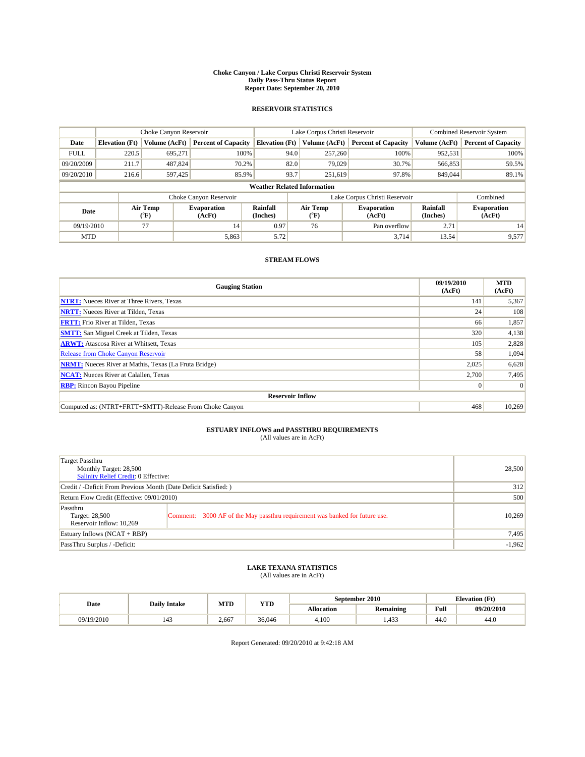#### **Choke Canyon / Lake Corpus Christi Reservoir System Daily Pass-Thru Status Report Report Date: September 20, 2010**

### **RESERVOIR STATISTICS**

|             |                                    | Choke Canyon Reservoir      |                              |                       | Lake Corpus Christi Reservoir | <b>Combined Reservoir System</b> |                      |                              |  |  |
|-------------|------------------------------------|-----------------------------|------------------------------|-----------------------|-------------------------------|----------------------------------|----------------------|------------------------------|--|--|
| Date        | <b>Elevation</b> (Ft)              | <b>Volume (AcFt)</b>        | <b>Percent of Capacity</b>   | <b>Elevation</b> (Ft) | Volume (AcFt)                 | <b>Percent of Capacity</b>       | Volume (AcFt)        | <b>Percent of Capacity</b>   |  |  |
| <b>FULL</b> | 220.5                              | 695,271                     | 100%                         |                       | 257,260<br>94.0               | 100%                             | 952,531              | 100%                         |  |  |
| 09/20/2009  | 211.7                              | 487,824                     | 70.2%                        |                       | 82.0<br>79,029                | 30.7%                            | 566,853              | 59.5%                        |  |  |
| 09/20/2010  | 216.6                              | 597,425                     | 85.9%                        |                       | 93.7<br>251.619               | 97.8%                            | 849,044              | 89.1%                        |  |  |
|             | <b>Weather Related Information</b> |                             |                              |                       |                               |                                  |                      |                              |  |  |
|             |                                    |                             | Choke Canyon Reservoir       |                       | Lake Corpus Christi Reservoir |                                  | Combined             |                              |  |  |
| Date        |                                    | Air Temp<br>${}^{\circ}$ F) | <b>Evaporation</b><br>(AcFt) | Rainfall<br>(Inches)  | Air Temp<br>$\rm ^{(^o}\!F)$  | <b>Evaporation</b><br>(AcFt)     | Rainfall<br>(Inches) | <b>Evaporation</b><br>(AcFt) |  |  |
| 09/19/2010  |                                    | 77                          | 14                           | 0.97                  | 76                            | Pan overflow                     | 2.71                 | 14                           |  |  |
| <b>MTD</b>  |                                    |                             | 5,863                        | 5.72                  |                               | 3.714                            | 13.54                | 9,577                        |  |  |

### **STREAM FLOWS**

| <b>Gauging Station</b>                                       | 09/19/2010<br>(AcFt) | <b>MTD</b><br>(AcFt) |  |  |  |  |  |
|--------------------------------------------------------------|----------------------|----------------------|--|--|--|--|--|
| <b>NTRT:</b> Nueces River at Three Rivers, Texas             | 141                  | 5,367                |  |  |  |  |  |
| <b>NRTT:</b> Nueces River at Tilden, Texas                   | 24                   | 108                  |  |  |  |  |  |
| <b>FRTT:</b> Frio River at Tilden, Texas                     | 66                   | 1,857                |  |  |  |  |  |
| <b>SMTT:</b> San Miguel Creek at Tilden, Texas               | 320                  | 4,138                |  |  |  |  |  |
| <b>ARWT:</b> Atascosa River at Whitsett, Texas               | 105                  | 2,828                |  |  |  |  |  |
| <b>Release from Choke Canyon Reservoir</b>                   | 58                   | 1,094                |  |  |  |  |  |
| <b>NRMT:</b> Nueces River at Mathis, Texas (La Fruta Bridge) | 2,025                | 6,628                |  |  |  |  |  |
| <b>NCAT:</b> Nueces River at Calallen, Texas                 | 2,700                | 7,495                |  |  |  |  |  |
| <b>RBP:</b> Rincon Bayou Pipeline<br>$\overline{0}$          |                      |                      |  |  |  |  |  |
| <b>Reservoir Inflow</b>                                      |                      |                      |  |  |  |  |  |
| Computed as: (NTRT+FRTT+SMTT)-Release From Choke Canyon      | 468                  | 10,269               |  |  |  |  |  |

## **ESTUARY INFLOWS and PASSTHRU REQUIREMENTS**

|  | (All values are in AcFt) |  |
|--|--------------------------|--|
|--|--------------------------|--|

| Target Passthru<br>Monthly Target: 28,500<br><b>Salinity Relief Credit: 0 Effective:</b> | 28,500                                                                      |        |  |  |
|------------------------------------------------------------------------------------------|-----------------------------------------------------------------------------|--------|--|--|
| Credit / -Deficit From Previous Month (Date Deficit Satisfied: )                         | 312                                                                         |        |  |  |
| Return Flow Credit (Effective: 09/01/2010)                                               |                                                                             |        |  |  |
| Passthru<br>Target: 28,500<br>Reservoir Inflow: 10,269                                   | Comment: 3000 AF of the May passthru requirement was banked for future use. | 10.269 |  |  |
| Estuary Inflows (NCAT + RBP)                                                             | 7,495                                                                       |        |  |  |
| PassThru Surplus / -Deficit:                                                             | $-1,962$                                                                    |        |  |  |

## **LAKE TEXANA STATISTICS** (All values are in AcFt)

|            | <b>Daily Intake</b> | MTD   | YTD    |            | September 2010       | <b>Elevation</b> (Ft) |            |
|------------|---------------------|-------|--------|------------|----------------------|-----------------------|------------|
| Date       |                     |       |        | Allocation | <b>Remaining</b>     | Full                  | 09/20/2010 |
| 09/19/2010 | 143                 | 2.667 | 36,046 | 4.100      | 422<br>. 43<br>ر ر د | 44.0                  | 44.0       |

Report Generated: 09/20/2010 at 9:42:18 AM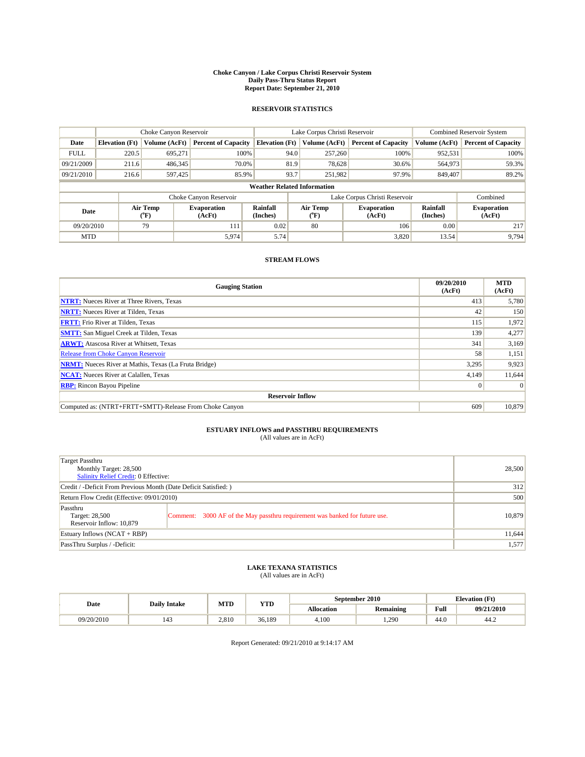#### **Choke Canyon / Lake Corpus Christi Reservoir System Daily Pass-Thru Status Report Report Date: September 21, 2010**

### **RESERVOIR STATISTICS**

|             | Choke Canyon Reservoir             |                             | Lake Corpus Christi Reservoir |                             |                               |               | Combined Reservoir System    |                      |                              |  |
|-------------|------------------------------------|-----------------------------|-------------------------------|-----------------------------|-------------------------------|---------------|------------------------------|----------------------|------------------------------|--|
| Date        | <b>Elevation</b> (Ft)              | <b>Volume (AcFt)</b>        | <b>Percent of Capacity</b>    | <b>Elevation</b> (Ft)       |                               | Volume (AcFt) | <b>Percent of Capacity</b>   | Volume (AcFt)        | <b>Percent of Capacity</b>   |  |
| <b>FULL</b> | 220.5                              | 695,271                     | 100%                          |                             | 94.0                          | 257,260       | 100%                         | 952,531              | 100%                         |  |
| 09/21/2009  | 211.6                              | 486,345                     | 70.0%                         |                             | 81.9                          | 78,628        | 30.6%                        | 564,973              | 59.3%                        |  |
| 09/21/2010  | 216.6                              | 597,425                     | 85.9%                         |                             | 93.7                          | 251,982       | 97.9%                        | 849,407              | 89.2%                        |  |
|             | <b>Weather Related Information</b> |                             |                               |                             |                               |               |                              |                      |                              |  |
|             |                                    |                             | Choke Canyon Reservoir        |                             | Lake Corpus Christi Reservoir |               |                              |                      | Combined                     |  |
| Date        |                                    | Air Temp<br>${}^{\circ}$ F) | <b>Evaporation</b><br>(AcFt)  | <b>Rainfall</b><br>(Inches) | (°F)                          | Air Temp      | <b>Evaporation</b><br>(AcFt) | Rainfall<br>(Inches) | <b>Evaporation</b><br>(AcFt) |  |
| 09/20/2010  |                                    | 79                          | 111                           | 0.02                        | 80                            |               | 106                          | 0.00                 | 217                          |  |
| <b>MTD</b>  |                                    |                             | 5,974                         | 5.74                        |                               |               | 3,820                        | 13.54                | 9,794                        |  |

### **STREAM FLOWS**

| <b>Gauging Station</b>                                       | 09/20/2010<br>(AcFt) | <b>MTD</b><br>(AcFt) |  |  |  |  |  |
|--------------------------------------------------------------|----------------------|----------------------|--|--|--|--|--|
| <b>NTRT:</b> Nueces River at Three Rivers, Texas             | 413                  | 5,780                |  |  |  |  |  |
| <b>NRTT:</b> Nueces River at Tilden, Texas                   | 42                   | 150                  |  |  |  |  |  |
| <b>FRTT:</b> Frio River at Tilden, Texas                     | 115                  | 1,972                |  |  |  |  |  |
| <b>SMTT:</b> San Miguel Creek at Tilden, Texas               | 139                  | 4,277                |  |  |  |  |  |
| <b>ARWT:</b> Atascosa River at Whitsett, Texas               | 341                  | 3,169                |  |  |  |  |  |
| <b>Release from Choke Canyon Reservoir</b>                   | 58                   | 1,151                |  |  |  |  |  |
| <b>NRMT:</b> Nueces River at Mathis, Texas (La Fruta Bridge) | 3,295                | 9,923                |  |  |  |  |  |
| <b>NCAT:</b> Nueces River at Calallen, Texas                 | 4,149                | 11,644               |  |  |  |  |  |
| <b>RBP:</b> Rincon Bayou Pipeline                            | $\overline{0}$       | $\Omega$             |  |  |  |  |  |
| <b>Reservoir Inflow</b>                                      |                      |                      |  |  |  |  |  |
| Computed as: (NTRT+FRTT+SMTT)-Release From Choke Canyon      | 609                  | 10,879               |  |  |  |  |  |

# **ESTUARY INFLOWS and PASSTHRU REQUIREMENTS**<br>(All values are in AcFt)

| Target Passthru<br>Monthly Target: 28,500<br>Salinity Relief Credit: 0 Effective: | 28,500                                                                      |        |
|-----------------------------------------------------------------------------------|-----------------------------------------------------------------------------|--------|
| Credit / -Deficit From Previous Month (Date Deficit Satisfied: )                  | 312                                                                         |        |
| Return Flow Credit (Effective: 09/01/2010)                                        | 500                                                                         |        |
| Passthru<br>Target: 28,500<br>Reservoir Inflow: 10,879                            | Comment: 3000 AF of the May passthru requirement was banked for future use. | 10.879 |
| Estuary Inflows (NCAT + RBP)                                                      | 11,644                                                                      |        |
| PassThru Surplus / -Deficit:                                                      | 1,577                                                                       |        |

# **LAKE TEXANA STATISTICS** (All values are in AcFt)

|            | MTD<br>YTD<br><b>Daily Intake</b> |       |        | September 2010 | <b>Elevation</b> (Ft) |      |            |
|------------|-----------------------------------|-------|--------|----------------|-----------------------|------|------------|
| Date       |                                   |       |        | Allocation     | Remaining             | Full | 09/21/2010 |
| 09/20/2010 |                                   | 2.810 | 36.189 | 4.100          | .290                  | 44.0 | 44.2       |

Report Generated: 09/21/2010 at 9:14:17 AM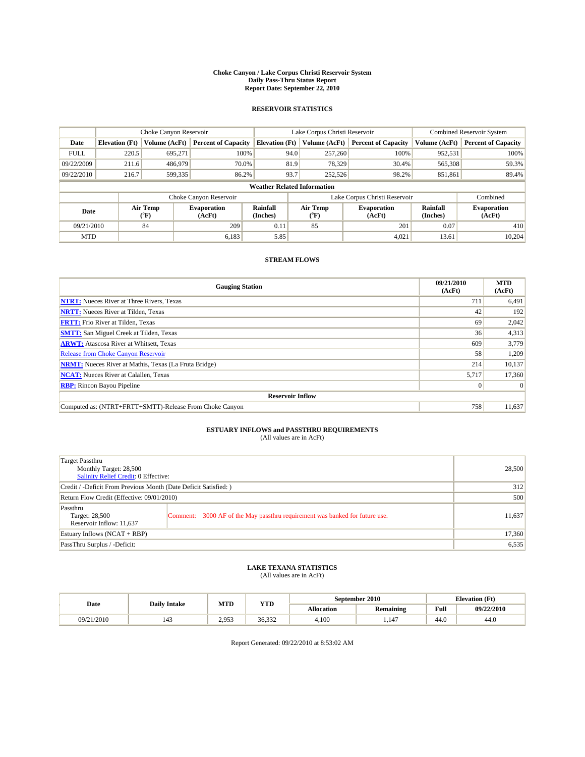#### **Choke Canyon / Lake Corpus Christi Reservoir System Daily Pass-Thru Status Report Report Date: September 22, 2010**

### **RESERVOIR STATISTICS**

|             | Choke Canyon Reservoir |                  |                              |                                    | Lake Corpus Christi Reservoir | <b>Combined Reservoir System</b>                     |               |                              |
|-------------|------------------------|------------------|------------------------------|------------------------------------|-------------------------------|------------------------------------------------------|---------------|------------------------------|
| Date        | <b>Elevation</b> (Ft)  | Volume (AcFt)    | <b>Percent of Capacity</b>   | <b>Elevation</b> (Ft)              | Volume (AcFt)                 | <b>Percent of Capacity</b>                           | Volume (AcFt) | <b>Percent of Capacity</b>   |
| <b>FULL</b> | 220.5                  | 695,271          | 100%                         | 94.0                               | 257,260                       | 100%                                                 | 952,531       | 100%                         |
| 09/22/2009  | 211.6                  | 486,979          | 70.0%                        | 81.9                               | 78,329                        | 30.4%                                                | 565,308       | 59.3%                        |
| 09/22/2010  | 216.7                  | 599,335          | 86.2%                        | 93.7                               | 252,526                       | 98.2%                                                | 851,861       | 89.4%                        |
|             |                        |                  |                              | <b>Weather Related Information</b> |                               |                                                      |               |                              |
|             |                        |                  | Choke Canyon Reservoir       |                                    | Lake Corpus Christi Reservoir |                                                      |               | Combined                     |
| Date        |                        | Air Temp<br>(°F) | <b>Evaporation</b><br>(AcFt) | Rainfall<br>(Inches)               | Air Temp<br>("F)              | Rainfall<br><b>Evaporation</b><br>(Inches)<br>(AcFt) |               | <b>Evaporation</b><br>(AcFt) |
| 09/21/2010  |                        | 84               | 209                          | 0.11                               | 85                            | 201                                                  | 0.07          | 410                          |
| <b>MTD</b>  |                        |                  | 6.183                        | 5.85                               |                               | 4.021                                                | 13.61         | 10.204                       |

### **STREAM FLOWS**

| <b>Gauging Station</b>                                       | 09/21/2010<br>(AcFt) | <b>MTD</b><br>(AcFt) |
|--------------------------------------------------------------|----------------------|----------------------|
| <b>NTRT:</b> Nueces River at Three Rivers, Texas             | 711                  | 6,491                |
| <b>NRTT:</b> Nueces River at Tilden, Texas                   | 42                   | 192                  |
| <b>FRTT:</b> Frio River at Tilden, Texas                     | 69                   | 2,042                |
| <b>SMTT:</b> San Miguel Creek at Tilden, Texas               | 36                   | 4,313                |
| <b>ARWT:</b> Atascosa River at Whitsett, Texas               | 609                  | 3,779                |
| <b>Release from Choke Canyon Reservoir</b>                   | 58                   | 1,209                |
| <b>NRMT:</b> Nueces River at Mathis, Texas (La Fruta Bridge) | 214                  | 10,137               |
| <b>NCAT:</b> Nueces River at Calallen, Texas                 | 5,717                | 17,360               |
| <b>RBP:</b> Rincon Bayou Pipeline                            | $\vert 0 \vert$      | $\Omega$             |
| <b>Reservoir Inflow</b>                                      |                      |                      |
| Computed as: (NTRT+FRTT+SMTT)-Release From Choke Canyon      | 758                  | 11,637               |

# **ESTUARY INFLOWS and PASSTHRU REQUIREMENTS**<br>(All values are in AcFt)

| Target Passthru<br>Monthly Target: 28,500<br><b>Salinity Relief Credit: 0 Effective:</b> |                                                                             | 28,500 |
|------------------------------------------------------------------------------------------|-----------------------------------------------------------------------------|--------|
| Credit / -Deficit From Previous Month (Date Deficit Satisfied: )                         |                                                                             | 312    |
| Return Flow Credit (Effective: 09/01/2010)                                               |                                                                             | 500    |
| Passthru<br>Target: 28,500<br>Reservoir Inflow: 11,637                                   | Comment: 3000 AF of the May passthru requirement was banked for future use. | 11,637 |
| Estuary Inflows $(NCAT + RBP)$                                                           |                                                                             | 17,360 |
| PassThru Surplus / -Deficit:                                                             |                                                                             | 6,535  |

## **LAKE TEXANA STATISTICS** (All values are in AcFt)

|            | Date<br><b>Daily Intake</b> |       | YTD    | September 2010    |                  | <b>Elevation</b> (Ft) |            |
|------------|-----------------------------|-------|--------|-------------------|------------------|-----------------------|------------|
|            |                             | MTD   |        | <b>Allocation</b> | <b>Remaining</b> | Full                  | 09/22/2010 |
| 09/21/2010 | 143                         | 2,953 | 36.332 | 4.100             | .147             | 44.0                  | 44.0       |

Report Generated: 09/22/2010 at 8:53:02 AM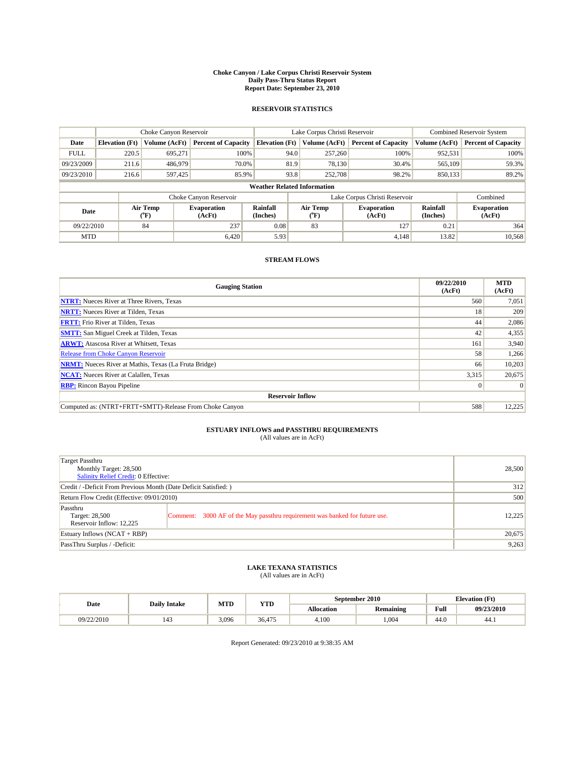#### **Choke Canyon / Lake Corpus Christi Reservoir System Daily Pass-Thru Status Report Report Date: September 23, 2010**

### **RESERVOIR STATISTICS**

|             | Choke Canyon Reservoir |                      |                              |                                    | Lake Corpus Christi Reservoir | <b>Combined Reservoir System</b>                     |               |                              |
|-------------|------------------------|----------------------|------------------------------|------------------------------------|-------------------------------|------------------------------------------------------|---------------|------------------------------|
| Date        | <b>Elevation</b> (Ft)  | <b>Volume (AcFt)</b> | <b>Percent of Capacity</b>   | <b>Elevation</b> (Ft)              | Volume (AcFt)                 | <b>Percent of Capacity</b>                           | Volume (AcFt) | <b>Percent of Capacity</b>   |
| <b>FULL</b> | 220.5                  | 695,271              | 100%                         | 94.0                               | 257,260                       | 100%                                                 | 952,531       | 100%                         |
| 09/23/2009  | 211.6                  | 486,979              | 70.0%                        | 81.9                               | 78,130                        | 30.4%                                                | 565,109       | 59.3%                        |
| 09/23/2010  | 216.6                  | 597,425              | 85.9%                        | 93.8                               | 252,708                       | 98.2%                                                | 850,133       | 89.2%                        |
|             |                        |                      |                              | <b>Weather Related Information</b> |                               |                                                      |               |                              |
|             |                        |                      | Choke Canyon Reservoir       |                                    | Lake Corpus Christi Reservoir |                                                      |               | Combined                     |
| Date        |                        | Air Temp<br>(°F)     | <b>Evaporation</b><br>(AcFt) | <b>Rainfall</b><br>(Inches)        | Air Temp<br>(°F)              | Rainfall<br><b>Evaporation</b><br>(Inches)<br>(AcFt) |               | <b>Evaporation</b><br>(AcFt) |
| 09/22/2010  |                        | 84                   | 237                          | 0.08                               | 83                            | 127                                                  | 0.21          | 364                          |
| <b>MTD</b>  |                        |                      | 6.420                        | 5.93                               |                               | 4.148                                                | 13.82         | 10,568                       |

### **STREAM FLOWS**

| <b>Gauging Station</b>                                       | 09/22/2010<br>(AcFt) | <b>MTD</b><br>(AcFt) |
|--------------------------------------------------------------|----------------------|----------------------|
| <b>NTRT:</b> Nueces River at Three Rivers, Texas             | 560                  | 7,051                |
| <b>NRTT:</b> Nueces River at Tilden, Texas                   | 18                   | 209                  |
| <b>FRTT:</b> Frio River at Tilden, Texas                     | 44                   | 2,086                |
| <b>SMTT:</b> San Miguel Creek at Tilden, Texas               | 42                   | 4,355                |
| <b>ARWT:</b> Atascosa River at Whitsett, Texas               | 161                  | 3,940                |
| <b>Release from Choke Canyon Reservoir</b>                   | 58                   | 1,266                |
| <b>NRMT:</b> Nueces River at Mathis, Texas (La Fruta Bridge) | 66                   | 10,203               |
| <b>NCAT:</b> Nueces River at Calallen, Texas                 | 3,315                | 20,675               |
| <b>RBP:</b> Rincon Bayou Pipeline                            | $\vert 0 \vert$      | $\Omega$             |
| <b>Reservoir Inflow</b>                                      |                      |                      |
| Computed as: (NTRT+FRTT+SMTT)-Release From Choke Canyon      | 588                  | 12,225               |

# **ESTUARY INFLOWS and PASSTHRU REQUIREMENTS**<br>(All values are in AcFt)

| Target Passthru<br>Monthly Target: 28,500<br><b>Salinity Relief Credit: 0 Effective:</b> |                                                                             | 28,500 |  |  |
|------------------------------------------------------------------------------------------|-----------------------------------------------------------------------------|--------|--|--|
| Credit / -Deficit From Previous Month (Date Deficit Satisfied: )                         |                                                                             |        |  |  |
| Return Flow Credit (Effective: 09/01/2010)                                               |                                                                             | 500    |  |  |
| Passthru<br>Target: 28,500<br>Reservoir Inflow: 12.225                                   | Comment: 3000 AF of the May passthru requirement was banked for future use. | 12.225 |  |  |
| Estuary Inflows $(NCAT + RBP)$                                                           |                                                                             | 20,675 |  |  |
| PassThru Surplus / -Deficit:                                                             |                                                                             | 9,263  |  |  |

# **LAKE TEXANA STATISTICS** (All values are in AcFt)

|            | <b>Daily Intake</b>             |       | YTD    | September 2010 |                  | <b>Elevation</b> (Ft) |            |
|------------|---------------------------------|-------|--------|----------------|------------------|-----------------------|------------|
| Date       |                                 | MTD   |        | Allocation     | <b>Remaining</b> | Full                  | 09/23/2010 |
| 09/22/2010 | $\overline{\phantom{a}}$<br>143 | 3.096 | 36.475 | 4,100          | .004             | 44.0                  | 44.1       |

Report Generated: 09/23/2010 at 9:38:35 AM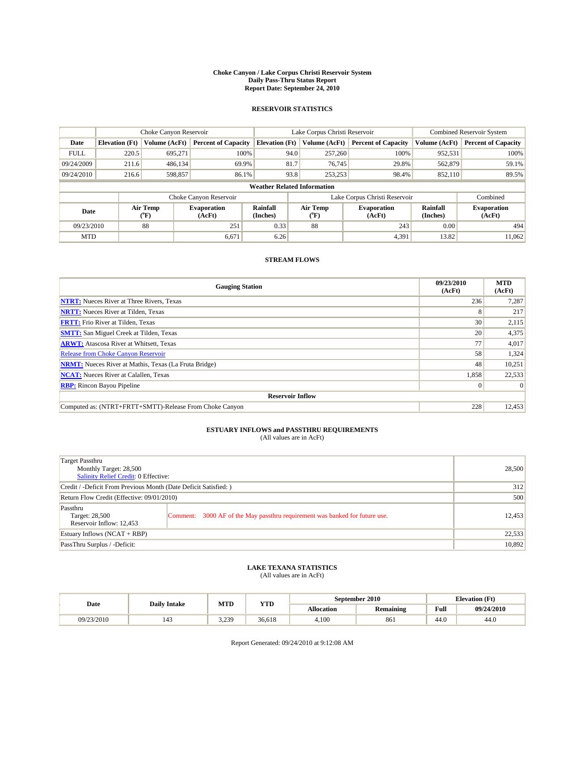#### **Choke Canyon / Lake Corpus Christi Reservoir System Daily Pass-Thru Status Report Report Date: September 24, 2010**

### **RESERVOIR STATISTICS**

|             | Choke Canyon Reservoir                                                                                                                                                        |                      |                            |                                    | Lake Corpus Christi Reservoir | <b>Combined Reservoir System</b> |               |                            |
|-------------|-------------------------------------------------------------------------------------------------------------------------------------------------------------------------------|----------------------|----------------------------|------------------------------------|-------------------------------|----------------------------------|---------------|----------------------------|
| Date        | <b>Elevation</b> (Ft)                                                                                                                                                         | <b>Volume (AcFt)</b> | <b>Percent of Capacity</b> | <b>Elevation</b> (Ft)              | Volume (AcFt)                 | <b>Percent of Capacity</b>       | Volume (AcFt) | <b>Percent of Capacity</b> |
| <b>FULL</b> | 220.5                                                                                                                                                                         | 695,271              | 100%                       | 94.0                               | 257,260                       | 100%                             | 952,531       | 100%                       |
| 09/24/2009  | 211.6                                                                                                                                                                         | 486.134              | 69.9%                      | 81.7                               | 76,745                        | 29.8%                            | 562,879       | 59.1%                      |
| 09/24/2010  | 216.6                                                                                                                                                                         | 598,857              | 86.1%                      | 93.8                               | 253,253                       | 98.4%                            | 852.110       | 89.5%                      |
|             |                                                                                                                                                                               |                      |                            | <b>Weather Related Information</b> |                               |                                  |               |                            |
|             |                                                                                                                                                                               |                      | Choke Canyon Reservoir     |                                    | Lake Corpus Christi Reservoir |                                  |               | Combined                   |
|             | Air Temp<br><b>Rainfall</b><br>Air Temp<br><b>Evaporation</b><br><b>Evaporation</b><br>Date<br>(Inches)<br>${}^{\circ}$ F)<br>(AcFt)<br>$(^{\mathrm{o}}\mathrm{F})$<br>(AcFt) |                      | Rainfall<br>(Inches)       | <b>Evaporation</b><br>(AcFt)       |                               |                                  |               |                            |
| 09/23/2010  |                                                                                                                                                                               | 88                   | 251                        | 0.33                               | 88                            | 243                              | 0.00          | 494                        |
| <b>MTD</b>  |                                                                                                                                                                               |                      | 6,671                      | 6.26                               |                               | 4,391                            | 13.82         | 11,062                     |

### **STREAM FLOWS**

| <b>Gauging Station</b>                                       | 09/23/2010<br>(AcFt) | <b>MTD</b><br>(AcFt) |
|--------------------------------------------------------------|----------------------|----------------------|
| <b>NTRT:</b> Nueces River at Three Rivers, Texas             | 236                  | 7,287                |
| <b>NRTT:</b> Nueces River at Tilden, Texas                   | 8                    | 217                  |
| <b>FRTT:</b> Frio River at Tilden, Texas                     | 30                   | 2,115                |
| <b>SMTT:</b> San Miguel Creek at Tilden, Texas               | 20                   | 4,375                |
| <b>ARWT:</b> Atascosa River at Whitsett, Texas               | 77                   | 4,017                |
| <b>Release from Choke Canyon Reservoir</b>                   | 58                   | 1,324                |
| <b>NRMT:</b> Nueces River at Mathis, Texas (La Fruta Bridge) | 48                   | 10,251               |
| <b>NCAT:</b> Nueces River at Calallen, Texas                 | 1,858                | 22,533               |
| <b>RBP:</b> Rincon Bayou Pipeline                            | $\vert 0 \vert$      | $\Omega$             |
| <b>Reservoir Inflow</b>                                      |                      |                      |
| Computed as: (NTRT+FRTT+SMTT)-Release From Choke Canyon      | 228                  | 12,453               |

# **ESTUARY INFLOWS and PASSTHRU REQUIREMENTS**<br>(All values are in AcFt)

| Target Passthru<br>Monthly Target: 28,500<br>Salinity Relief Credit: 0 Effective: |                                                                             | 28,500 |  |
|-----------------------------------------------------------------------------------|-----------------------------------------------------------------------------|--------|--|
| Credit / -Deficit From Previous Month (Date Deficit Satisfied: )                  |                                                                             |        |  |
| Return Flow Credit (Effective: 09/01/2010)                                        |                                                                             | 500    |  |
| Passthru<br>Target: 28,500<br>Reservoir Inflow: 12,453                            | Comment: 3000 AF of the May passthru requirement was banked for future use. | 12,453 |  |
| Estuary Inflows (NCAT + RBP)                                                      |                                                                             | 22,533 |  |
| PassThru Surplus / -Deficit:                                                      |                                                                             | 10,892 |  |

## **LAKE TEXANA STATISTICS** (All values are in AcFt)

|            | <b>Daily Intake</b>             | MTD             | YTD    | September 2010 |                  |      | <b>Elevation</b> (Ft) |
|------------|---------------------------------|-----------------|--------|----------------|------------------|------|-----------------------|
| Date       |                                 |                 |        | Allocation     | <b>Remaining</b> | Full | 09/24/2010            |
| 09/23/2010 | $\overline{\phantom{a}}$<br>143 | 3 239<br>. ﺳﯩﻤﯩ | 36.618 | 4.100          | 861              | 44.0 | 44.0                  |

Report Generated: 09/24/2010 at 9:12:08 AM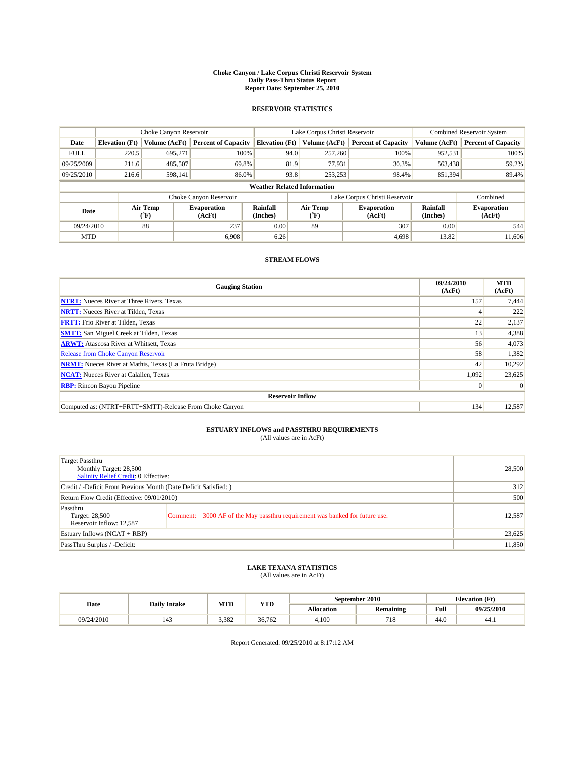#### **Choke Canyon / Lake Corpus Christi Reservoir System Daily Pass-Thru Status Report Report Date: September 25, 2010**

### **RESERVOIR STATISTICS**

|             | Choke Canyon Reservoir |                  |                              |                                    | Lake Corpus Christi Reservoir | <b>Combined Reservoir System</b>                     |               |                              |
|-------------|------------------------|------------------|------------------------------|------------------------------------|-------------------------------|------------------------------------------------------|---------------|------------------------------|
| Date        | <b>Elevation</b> (Ft)  | Volume (AcFt)    | <b>Percent of Capacity</b>   | <b>Elevation</b> (Ft)              | Volume (AcFt)                 | <b>Percent of Capacity</b>                           | Volume (AcFt) | <b>Percent of Capacity</b>   |
| <b>FULL</b> | 220.5                  | 695,271          | 100%                         | 94.0                               | 257,260                       | 100%                                                 | 952,531       | 100%                         |
| 09/25/2009  | 211.6                  | 485,507          | 69.8%                        | 81.9                               | 77,931                        | 30.3%                                                | 563,438       | 59.2%                        |
| 09/25/2010  | 216.6                  | 598,141          | 86.0%                        | 93.8                               | 253,253                       | 98.4%                                                | 851,394       | 89.4%                        |
|             |                        |                  |                              | <b>Weather Related Information</b> |                               |                                                      |               |                              |
|             |                        |                  | Choke Canyon Reservoir       |                                    | Lake Corpus Christi Reservoir |                                                      |               | Combined                     |
| Date        |                        | Air Temp<br>(°F) | <b>Evaporation</b><br>(AcFt) | Rainfall<br>(Inches)               | Air Temp<br>("F)              | Rainfall<br><b>Evaporation</b><br>(Inches)<br>(AcFt) |               | <b>Evaporation</b><br>(AcFt) |
| 09/24/2010  |                        | 88               | 237                          | 0.00                               | 89                            | 307                                                  | 0.00          | 544                          |
| <b>MTD</b>  |                        |                  | 6.908                        | 6.26                               |                               | 4.698                                                | 13.82         | 11.606                       |

### **STREAM FLOWS**

| <b>Gauging Station</b>                                       | 09/24/2010<br>(AcFt) | <b>MTD</b><br>(AcFt) |  |  |  |  |
|--------------------------------------------------------------|----------------------|----------------------|--|--|--|--|
| <b>NTRT:</b> Nueces River at Three Rivers, Texas             | 157                  | 7,444                |  |  |  |  |
| <b>NRTT:</b> Nueces River at Tilden, Texas                   |                      | 222                  |  |  |  |  |
| <b>FRTT:</b> Frio River at Tilden, Texas                     | 22                   | 2,137                |  |  |  |  |
| <b>SMTT:</b> San Miguel Creek at Tilden, Texas               | 13                   | 4,388                |  |  |  |  |
| <b>ARWT:</b> Atascosa River at Whitsett, Texas               | 56                   | 4,073                |  |  |  |  |
| <b>Release from Choke Canyon Reservoir</b>                   | 58                   | 1,382                |  |  |  |  |
| <b>NRMT:</b> Nueces River at Mathis, Texas (La Fruta Bridge) | 42                   | 10,292               |  |  |  |  |
| <b>NCAT:</b> Nueces River at Calallen, Texas                 | 1,092                | 23,625               |  |  |  |  |
| <b>RBP:</b> Rincon Bayou Pipeline                            | $\vert 0 \vert$      | $\Omega$             |  |  |  |  |
| <b>Reservoir Inflow</b>                                      |                      |                      |  |  |  |  |
| Computed as: (NTRT+FRTT+SMTT)-Release From Choke Canyon      | 134                  | 12,587               |  |  |  |  |

## **ESTUARY INFLOWS and PASSTHRU REQUIREMENTS**<br>(All values are in AcFt)

| Target Passthru<br>Monthly Target: 28,500<br>Salinity Relief Credit: 0 Effective: |                                                                             | 28,500 |
|-----------------------------------------------------------------------------------|-----------------------------------------------------------------------------|--------|
| Credit / -Deficit From Previous Month (Date Deficit Satisfied: )                  | 312                                                                         |        |
| Return Flow Credit (Effective: 09/01/2010)                                        |                                                                             | 500    |
| Passthru<br>Target: 28,500<br>Reservoir Inflow: 12,587                            | Comment: 3000 AF of the May passthru requirement was banked for future use. | 12,587 |
| Estuary Inflows (NCAT + RBP)                                                      |                                                                             | 23,625 |
| PassThru Surplus / -Deficit:                                                      |                                                                             | 11,850 |

# **LAKE TEXANA STATISTICS** (All values are in AcFt)

|            | <b>Daily Intake</b>   | MTD   | YTD    | September 2010    |                  |      | <b>Elevation</b> (Ft) |
|------------|-----------------------|-------|--------|-------------------|------------------|------|-----------------------|
| Date       |                       |       |        | <b>Allocation</b> | <b>Remaining</b> | Full | 09/25/2010            |
| 09/24/2010 | $\overline{a}$<br>143 | 3.382 | 36.762 | 4.100             | 718              | 44.0 | 44.1                  |

Report Generated: 09/25/2010 at 8:17:12 AM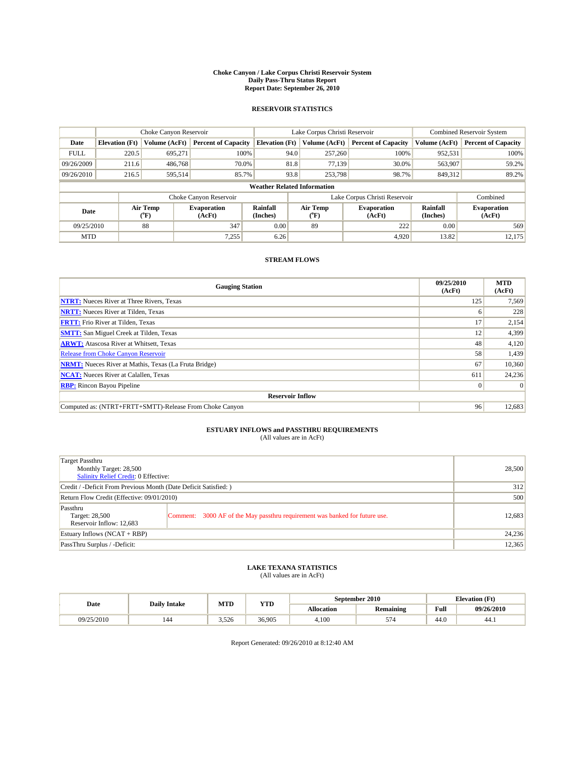#### **Choke Canyon / Lake Corpus Christi Reservoir System Daily Pass-Thru Status Report Report Date: September 26, 2010**

### **RESERVOIR STATISTICS**

|             | Choke Canyon Reservoir |                  |                              |                                    | Lake Corpus Christi Reservoir | <b>Combined Reservoir System</b>                     |               |                              |
|-------------|------------------------|------------------|------------------------------|------------------------------------|-------------------------------|------------------------------------------------------|---------------|------------------------------|
| Date        | <b>Elevation</b> (Ft)  | Volume (AcFt)    | <b>Percent of Capacity</b>   | <b>Elevation</b> (Ft)              | Volume (AcFt)                 | <b>Percent of Capacity</b>                           | Volume (AcFt) | <b>Percent of Capacity</b>   |
| <b>FULL</b> | 220.5                  | 695,271          | 100%                         | 94.0                               | 257,260                       | 100%                                                 | 952,531       | 100%                         |
| 09/26/2009  | 211.6                  | 486,768          | 70.0%                        | 81.8                               | 77,139                        | 30.0%                                                | 563,907       | 59.2%                        |
| 09/26/2010  | 216.5                  | 595,514          | 85.7%                        | 93.8                               | 253,798                       | 98.7%                                                | 849,312       | 89.2%                        |
|             |                        |                  |                              | <b>Weather Related Information</b> |                               |                                                      |               |                              |
|             |                        |                  | Choke Canyon Reservoir       |                                    | Lake Corpus Christi Reservoir |                                                      |               | Combined                     |
| Date        |                        | Air Temp<br>(°F) | <b>Evaporation</b><br>(AcFt) | Rainfall<br>(Inches)               | Air Temp<br>("F)              | Rainfall<br><b>Evaporation</b><br>(Inches)<br>(AcFt) |               | <b>Evaporation</b><br>(AcFt) |
| 09/25/2010  |                        | 88               | 347                          | 0.00                               | 89                            | 222                                                  | 0.00          | 569                          |
| <b>MTD</b>  |                        |                  | 7,255                        | 6.26                               |                               | 4.920                                                | 13.82         | 12,175                       |

### **STREAM FLOWS**

| <b>Gauging Station</b>                                       | 09/25/2010<br>(AcFt) | <b>MTD</b><br>(AcFt) |  |  |  |  |
|--------------------------------------------------------------|----------------------|----------------------|--|--|--|--|
| <b>NTRT:</b> Nueces River at Three Rivers, Texas             | 125                  | 7,569                |  |  |  |  |
| <b>NRTT:</b> Nueces River at Tilden, Texas                   | 6                    | 228                  |  |  |  |  |
| <b>FRTT:</b> Frio River at Tilden, Texas                     | 17                   | 2,154                |  |  |  |  |
| <b>SMTT:</b> San Miguel Creek at Tilden, Texas               | 12                   | 4,399                |  |  |  |  |
| <b>ARWT:</b> Atascosa River at Whitsett, Texas               | 48                   | 4,120                |  |  |  |  |
| <b>Release from Choke Canyon Reservoir</b>                   | 58                   | 1,439                |  |  |  |  |
| <b>NRMT:</b> Nueces River at Mathis, Texas (La Fruta Bridge) | 67                   | 10,360               |  |  |  |  |
| <b>NCAT:</b> Nueces River at Calallen, Texas                 | 611                  | 24,236               |  |  |  |  |
| <b>RBP:</b> Rincon Bayou Pipeline                            | $\vert 0 \vert$      | $\Omega$             |  |  |  |  |
| <b>Reservoir Inflow</b>                                      |                      |                      |  |  |  |  |
| Computed as: (NTRT+FRTT+SMTT)-Release From Choke Canyon      | 96                   | 12,683               |  |  |  |  |

## **ESTUARY INFLOWS and PASSTHRU REQUIREMENTS**<br>(All values are in AcFt)

| Target Passthru<br>Monthly Target: 28,500<br>Salinity Relief Credit: 0 Effective: |                                                                             | 28,500 |
|-----------------------------------------------------------------------------------|-----------------------------------------------------------------------------|--------|
| Credit / -Deficit From Previous Month (Date Deficit Satisfied: )                  |                                                                             | 312    |
| Return Flow Credit (Effective: 09/01/2010)                                        |                                                                             | 500    |
| Passthru<br>Target: 28,500<br>Reservoir Inflow: 12,683                            | Comment: 3000 AF of the May passthru requirement was banked for future use. | 12,683 |
| Estuary Inflows (NCAT + RBP)                                                      |                                                                             | 24,236 |
| PassThru Surplus / -Deficit:                                                      |                                                                             | 12,365 |

## **LAKE TEXANA STATISTICS** (All values are in AcFt)

|            | <b>Daily Intake</b> | MTD   | YTD    | September 2010 |                  |      | <b>Elevation</b> (Ft) |
|------------|---------------------|-------|--------|----------------|------------------|------|-----------------------|
| Date       |                     |       |        | Allocation     | <b>Remaining</b> | Full | 09/26/2010            |
| 09/25/2010 | 144                 | 3.526 | 36.905 | 4.100          | 57A<br>$\sim$    | 44.0 | 44.1                  |

Report Generated: 09/26/2010 at 8:12:40 AM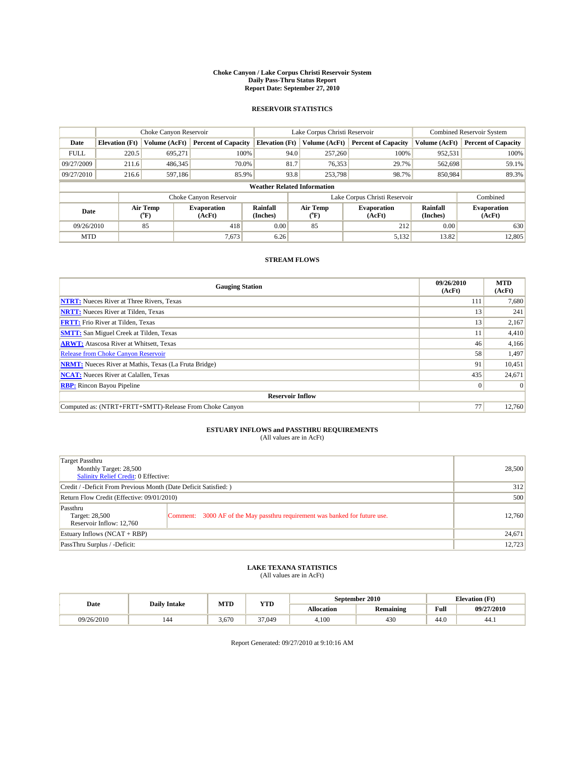#### **Choke Canyon / Lake Corpus Christi Reservoir System Daily Pass-Thru Status Report Report Date: September 27, 2010**

### **RESERVOIR STATISTICS**

|             | Choke Canyon Reservoir |                  |                              |                                    | Lake Corpus Christi Reservoir | <b>Combined Reservoir System</b>                     |               |                              |
|-------------|------------------------|------------------|------------------------------|------------------------------------|-------------------------------|------------------------------------------------------|---------------|------------------------------|
| Date        | <b>Elevation</b> (Ft)  | Volume (AcFt)    | <b>Percent of Capacity</b>   | <b>Elevation</b> (Ft)              | Volume (AcFt)                 | <b>Percent of Capacity</b>                           | Volume (AcFt) | <b>Percent of Capacity</b>   |
| <b>FULL</b> | 220.5                  | 695,271          | 100%                         | 94.0                               | 257,260                       | 100%                                                 | 952,531       | 100%                         |
| 09/27/2009  | 211.6                  | 486,345          | 70.0%                        | 81.7                               | 76,353                        | 29.7%                                                | 562,698       | 59.1%                        |
| 09/27/2010  | 216.6                  | 597,186          | 85.9%                        | 93.8                               | 253,798                       | 98.7%                                                | 850,984       | 89.3%                        |
|             |                        |                  |                              | <b>Weather Related Information</b> |                               |                                                      |               |                              |
|             |                        |                  | Choke Canyon Reservoir       |                                    | Lake Corpus Christi Reservoir |                                                      |               | Combined                     |
| Date        |                        | Air Temp<br>(°F) | <b>Evaporation</b><br>(AcFt) | Rainfall<br>(Inches)               | Air Temp<br>("F)              | Rainfall<br><b>Evaporation</b><br>(Inches)<br>(AcFt) |               | <b>Evaporation</b><br>(AcFt) |
| 09/26/2010  |                        | 85               | 418                          | 0.00                               | 85                            | 212                                                  | 0.00          | 630                          |
| <b>MTD</b>  |                        |                  | 7,673                        | 6.26                               |                               | 5,132                                                | 13.82         | 12.805                       |

### **STREAM FLOWS**

| <b>Gauging Station</b>                                       | 09/26/2010<br>(AcFt) | <b>MTD</b><br>(AcFt) |  |  |  |  |
|--------------------------------------------------------------|----------------------|----------------------|--|--|--|--|
| <b>NTRT:</b> Nueces River at Three Rivers, Texas             | 111                  | 7,680                |  |  |  |  |
| <b>NRTT:</b> Nueces River at Tilden, Texas                   | 13                   | 241                  |  |  |  |  |
| <b>FRTT:</b> Frio River at Tilden, Texas                     | 13                   | 2,167                |  |  |  |  |
| <b>SMTT:</b> San Miguel Creek at Tilden, Texas               |                      | 4,410                |  |  |  |  |
| <b>ARWT:</b> Atascosa River at Whitsett, Texas               | 46                   | 4,166                |  |  |  |  |
| Release from Choke Canyon Reservoir                          | 58                   | 1,497                |  |  |  |  |
| <b>NRMT:</b> Nueces River at Mathis, Texas (La Fruta Bridge) | 91                   | 10,451               |  |  |  |  |
| <b>NCAT:</b> Nueces River at Calallen, Texas                 | 435                  | 24,671               |  |  |  |  |
| <b>RBP:</b> Rincon Bayou Pipeline                            | $\overline{0}$       | $\Omega$             |  |  |  |  |
| <b>Reservoir Inflow</b>                                      |                      |                      |  |  |  |  |
| Computed as: (NTRT+FRTT+SMTT)-Release From Choke Canyon      | 77                   | 12,760               |  |  |  |  |

## **ESTUARY INFLOWS and PASSTHRU REQUIREMENTS**<br>(All values are in AcFt)

| Target Passthru<br>Monthly Target: 28,500<br>Salinity Relief Credit: 0 Effective: |                                                                             | 28,500 |
|-----------------------------------------------------------------------------------|-----------------------------------------------------------------------------|--------|
| Credit / -Deficit From Previous Month (Date Deficit Satisfied: )                  |                                                                             | 312    |
| Return Flow Credit (Effective: 09/01/2010)                                        |                                                                             | 500    |
| Passthru<br>Target: 28,500<br>Reservoir Inflow: 12,760                            | Comment: 3000 AF of the May passthru requirement was banked for future use. | 12,760 |
| Estuary Inflows $(NCAT + RBP)$                                                    |                                                                             | 24,671 |
| PassThru Surplus / -Deficit:                                                      |                                                                             | 12,723 |

## **LAKE TEXANA STATISTICS** (All values are in AcFt)

|            | MTD<br>YTD<br><b>Daily Intake</b> |       |        |                   | September 2010   | <b>Elevation</b> (Ft) |            |
|------------|-----------------------------------|-------|--------|-------------------|------------------|-----------------------|------------|
| Date       |                                   |       |        | <b>Allocation</b> | <b>Remaining</b> | Full                  | 09/27/2010 |
| 09/26/2010 | 144                               | 3.670 | 37,049 | 4.100             | 430              | 44.0                  | 44.1       |

Report Generated: 09/27/2010 at 9:10:16 AM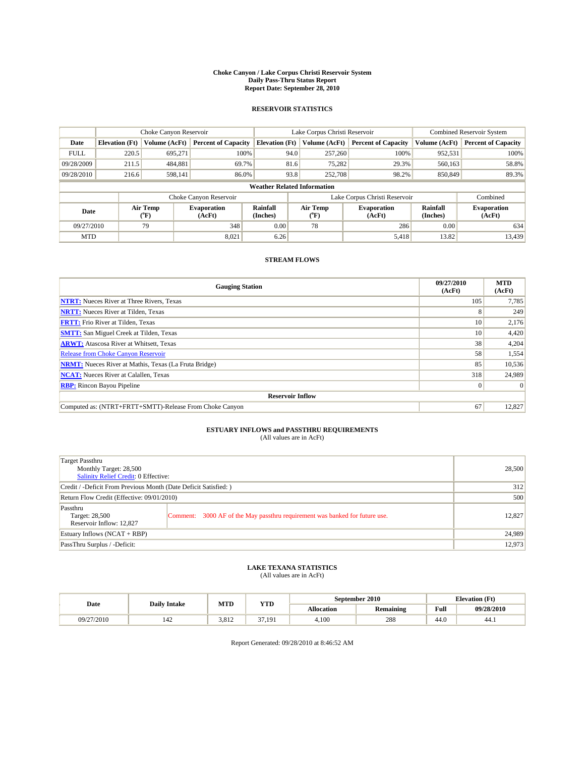#### **Choke Canyon / Lake Corpus Christi Reservoir System Daily Pass-Thru Status Report Report Date: September 28, 2010**

### **RESERVOIR STATISTICS**

|             | Choke Canyon Reservoir |                      |                              |                                    | Lake Corpus Christi Reservoir | Combined Reservoir System                            |               |                              |
|-------------|------------------------|----------------------|------------------------------|------------------------------------|-------------------------------|------------------------------------------------------|---------------|------------------------------|
| Date        | <b>Elevation</b> (Ft)  | <b>Volume (AcFt)</b> | <b>Percent of Capacity</b>   | <b>Elevation</b> (Ft)              | Volume (AcFt)                 | <b>Percent of Capacity</b>                           | Volume (AcFt) | <b>Percent of Capacity</b>   |
| <b>FULL</b> | 220.5                  | 695,271              | 100%                         | 94.0                               | 257,260                       | 100%                                                 | 952,531       | 100%                         |
| 09/28/2009  | 211.5                  | 484,881              | 69.7%                        | 81.6                               | 75,282                        | 29.3%                                                | 560,163       | 58.8%                        |
| 09/28/2010  | 216.6                  | 598,141              | 86.0%                        | 93.8                               | 252,708                       | 98.2%                                                | 850,849       | 89.3%                        |
|             |                        |                      |                              | <b>Weather Related Information</b> |                               |                                                      |               |                              |
|             |                        |                      | Choke Canyon Reservoir       |                                    | Lake Corpus Christi Reservoir |                                                      |               | Combined                     |
| Date        |                        | Air Temp<br>(°F)     | <b>Evaporation</b><br>(AcFt) | Rainfall<br>(Inches)               | Air Temp<br>("F)              | Rainfall<br><b>Evaporation</b><br>(Inches)<br>(AcFt) |               | <b>Evaporation</b><br>(AcFt) |
| 09/27/2010  |                        | 79                   | 348                          | 0.00                               | 78                            | 286                                                  | 0.00          | 634                          |
| <b>MTD</b>  |                        |                      | 8.021                        | 6.26                               |                               | 5,418                                                | 13.82         | 13.439                       |

### **STREAM FLOWS**

| <b>Gauging Station</b>                                       | 09/27/2010<br>(AcFt) | <b>MTD</b><br>(AcFt) |  |  |  |  |  |
|--------------------------------------------------------------|----------------------|----------------------|--|--|--|--|--|
| <b>NTRT:</b> Nueces River at Three Rivers, Texas             | 105                  | 7,785                |  |  |  |  |  |
| <b>NRTT:</b> Nueces River at Tilden, Texas                   | 8                    | 249                  |  |  |  |  |  |
| <b>FRTT:</b> Frio River at Tilden, Texas                     | 10 <sup>1</sup>      | 2,176                |  |  |  |  |  |
| <b>SMTT:</b> San Miguel Creek at Tilden, Texas               | 10 <sup>1</sup>      | 4,420                |  |  |  |  |  |
| <b>ARWT:</b> Atascosa River at Whitsett, Texas               | 38                   | 4,204                |  |  |  |  |  |
| <b>Release from Choke Canyon Reservoir</b>                   | 58                   | 1,554                |  |  |  |  |  |
| <b>NRMT:</b> Nueces River at Mathis, Texas (La Fruta Bridge) | 85                   | 10,536               |  |  |  |  |  |
| <b>NCAT:</b> Nueces River at Calallen, Texas                 | 318                  | 24,989               |  |  |  |  |  |
| <b>RBP:</b> Rincon Bayou Pipeline                            | $\overline{0}$       | $\Omega$             |  |  |  |  |  |
| <b>Reservoir Inflow</b>                                      |                      |                      |  |  |  |  |  |
| Computed as: (NTRT+FRTT+SMTT)-Release From Choke Canyon      | 67                   | 12,827               |  |  |  |  |  |

# **ESTUARY INFLOWS and PASSTHRU REQUIREMENTS**<br>(All values are in AcFt)

| Target Passthru<br>Monthly Target: 28,500<br><b>Salinity Relief Credit: 0 Effective:</b> |                                                                             | 28,500 |
|------------------------------------------------------------------------------------------|-----------------------------------------------------------------------------|--------|
| Credit / -Deficit From Previous Month (Date Deficit Satisfied: )                         |                                                                             | 312    |
| Return Flow Credit (Effective: 09/01/2010)                                               |                                                                             | 500    |
| Passthru<br>Target: 28,500<br>Reservoir Inflow: 12,827                                   | Comment: 3000 AF of the May passthru requirement was banked for future use. | 12,827 |
| Estuary Inflows (NCAT + RBP)                                                             |                                                                             | 24,989 |
| PassThru Surplus / -Deficit:                                                             |                                                                             | 12,973 |

## **LAKE TEXANA STATISTICS** (All values are in AcFt)

|            | MTD<br>YTD<br><b>Daily Intake</b> |       |              |                   | September 2010   | <b>Elevation</b> (Ft) |            |
|------------|-----------------------------------|-------|--------------|-------------------|------------------|-----------------------|------------|
| Date       |                                   |       |              | <b>Allocation</b> | <b>Remaining</b> | Full                  | 09/28/2010 |
| 09/27/2010 | 142                               | 3.812 | 27<br>37.191 | 4.100             | 288              | 44.0                  | 44.1       |

Report Generated: 09/28/2010 at 8:46:52 AM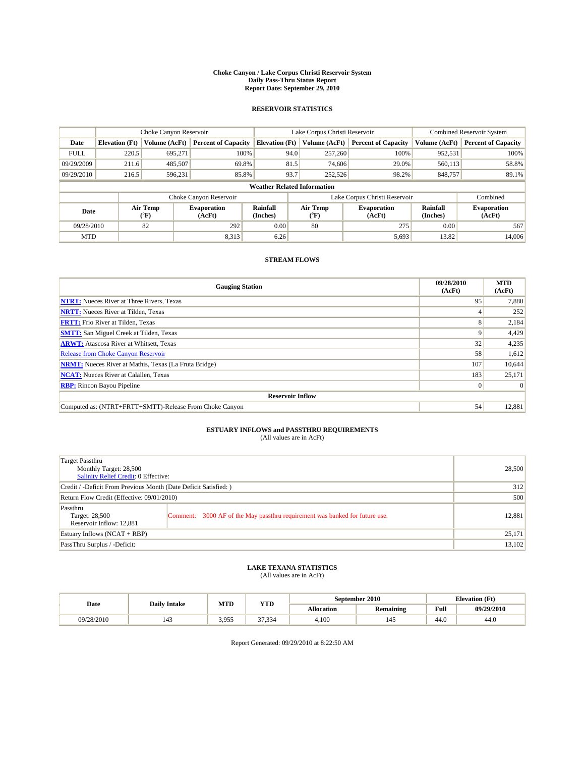#### **Choke Canyon / Lake Corpus Christi Reservoir System Daily Pass-Thru Status Report Report Date: September 29, 2010**

### **RESERVOIR STATISTICS**

|             | Choke Canyon Reservoir |                      |                              |                                    | Lake Corpus Christi Reservoir |                              |                      | Combined Reservoir System    |  |
|-------------|------------------------|----------------------|------------------------------|------------------------------------|-------------------------------|------------------------------|----------------------|------------------------------|--|
| Date        | <b>Elevation</b> (Ft)  | <b>Volume (AcFt)</b> | <b>Percent of Capacity</b>   | <b>Elevation</b> (Ft)              | Volume (AcFt)                 | <b>Percent of Capacity</b>   | Volume (AcFt)        | <b>Percent of Capacity</b>   |  |
| <b>FULL</b> | 220.5                  | 695,271              | 100%                         | 94.0                               | 257,260                       | 100%                         | 952,531              | 100%                         |  |
| 09/29/2009  | 211.6                  | 485,507              | 69.8%                        | 81.5                               | 74,606                        | 29.0%                        | 560,113              | 58.8%                        |  |
| 09/29/2010  | 216.5                  | 596,231              | 85.8%                        | 93.7                               | 252,526                       | 98.2%                        | 848,757              | 89.1%                        |  |
|             |                        |                      |                              | <b>Weather Related Information</b> |                               |                              |                      |                              |  |
|             |                        |                      | Choke Canyon Reservoir       |                                    | Lake Corpus Christi Reservoir |                              |                      | Combined                     |  |
| Date        |                        | Air Temp<br>(°F)     | <b>Evaporation</b><br>(AcFt) | <b>Rainfall</b><br>(Inches)        | Air Temp<br>(°F)              | <b>Evaporation</b><br>(AcFt) | Rainfall<br>(Inches) | <b>Evaporation</b><br>(AcFt) |  |
| 09/28/2010  |                        | 82                   | 292                          | 0.00                               | 80                            | 275                          | 0.00                 | 567                          |  |
| <b>MTD</b>  |                        |                      | 8,313                        | 6.26                               |                               | 5,693                        | 13.82                | 14,006                       |  |

### **STREAM FLOWS**

| <b>Gauging Station</b>                                       | 09/28/2010<br>(AcFt) | <b>MTD</b><br>(AcFt) |
|--------------------------------------------------------------|----------------------|----------------------|
| <b>NTRT:</b> Nueces River at Three Rivers, Texas             | 95                   | 7,880                |
| <b>NRTT:</b> Nueces River at Tilden, Texas                   |                      | 252                  |
| <b>FRTT:</b> Frio River at Tilden, Texas                     | 8                    | 2,184                |
| <b>SMTT:</b> San Miguel Creek at Tilden, Texas               | 9                    | 4,429                |
| <b>ARWT:</b> Atascosa River at Whitsett, Texas               | 32                   | 4,235                |
| <b>Release from Choke Canyon Reservoir</b>                   | 58                   | 1,612                |
| <b>NRMT:</b> Nueces River at Mathis, Texas (La Fruta Bridge) | 107                  | 10,644               |
| <b>NCAT:</b> Nueces River at Calallen, Texas                 | 183                  | 25,171               |
| <b>RBP:</b> Rincon Bayou Pipeline                            | $\overline{0}$       | $\Omega$             |
| <b>Reservoir Inflow</b>                                      |                      |                      |
| Computed as: (NTRT+FRTT+SMTT)-Release From Choke Canyon      | 54                   | 12,881               |

# **ESTUARY INFLOWS and PASSTHRU REQUIREMENTS**<br>(All values are in AcFt)

| Target Passthru<br>Monthly Target: 28,500<br>Salinity Relief Credit: 0 Effective: |                                                                             | 28,500 |
|-----------------------------------------------------------------------------------|-----------------------------------------------------------------------------|--------|
| Credit / -Deficit From Previous Month (Date Deficit Satisfied: )                  | 312                                                                         |        |
| Return Flow Credit (Effective: 09/01/2010)                                        |                                                                             | 500    |
| Passthru<br>Target: 28,500<br>Reservoir Inflow: 12,881                            | Comment: 3000 AF of the May passthru requirement was banked for future use. | 12,881 |
| Estuary Inflows (NCAT + RBP)                                                      |                                                                             | 25,171 |
| PassThru Surplus / -Deficit:                                                      |                                                                             | 13,102 |

# **LAKE TEXANA STATISTICS** (All values are in AcFt)

|            | September 2010<br>MTD<br>YTD<br><b>Daily Intake</b> |       |              | <b>Elevation</b> (Ft) |                  |      |            |
|------------|-----------------------------------------------------|-------|--------------|-----------------------|------------------|------|------------|
| Date       |                                                     |       |              | <b>Allocation</b>     | <b>Remaining</b> | Full | 09/29/2010 |
| 09/28/2010 | $\overline{a}$<br>143                               | 3.955 | 27<br>37.334 | 4.100                 | 145              | 44.0 | 44.0       |

Report Generated: 09/29/2010 at 8:22:50 AM